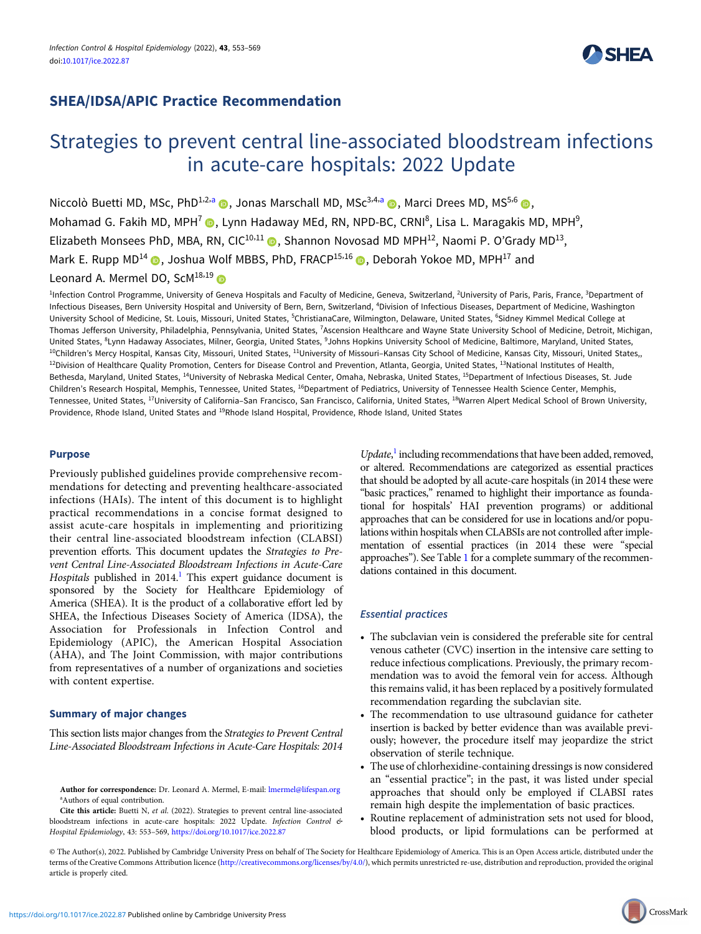# SHEA/IDSA/APIC Practice Recommendation

# **SHEA**

# Strategies to prevent central line-associated bloodstream infections in acute-care hospitals: 2022 Update

Niccolò Buetti MD, MSc, PhD<sup>1,2,a</sup> , Jonas Marschall MD, MSc<sup>3,4,a</sup>  $\bullet$ , Marci Drees MD, MS<sup>5,6</sup>  $\bullet$ , Mohamad G. Fakih MD, MPH<sup>7</sup> (D, Lynn Hadaway MEd, RN, NPD-BC, CRNI<sup>8</sup>, Lisa L. Maragakis MD, MPH<sup>9</sup>, Elizabeth Monsees PhD, MBA, RN, CIC<sup>10,11</sup>  $\odot$ , Shannon Novosad MD MPH<sup>12</sup>, Naomi P. O'Grady MD<sup>13</sup>, Mark E. Rupp MD<sup>14</sup>  $\odot$ , Joshua Wolf MBBS, PhD, FRACP<sup>15,16</sup>  $\odot$ , Deborah Yokoe MD, MPH<sup>17</sup> and Leonard A. Mermel DO, ScM<sup>18,19</sup>

<sup>1</sup>Infection Control Programme, University of Geneva Hospitals and Faculty of Medicine, Geneva, Switzerland, <sup>2</sup>University of Paris, Paris, France, <sup>3</sup>Department of Infectious Diseases, Bern University Hospital and University of Bern, Bern, Switzerland, <sup>4</sup>Division of Infectious Diseases, Department of Medicine, Washington University School of Medicine, St. Louis, Missouri, United States, <sup>5</sup>ChristianaCare, Wilmington, Delaware, United States, <sup>6</sup>Sidney Kimmel Medical College at Thomas Jefferson University, Philadelphia, Pennsylvania, United States, <sup>7</sup>Ascension Healthcare and Wayne State University School of Medicine, Detroit, Michigan, United States, <sup>8</sup>Lynn Hadaway Associates, Milner, Georgia, United States, <sup>9</sup>Johns Hopkins University School of Medicine, Baltimore, Maryland, United States, <sup>10</sup>Children's Mercy Hospital, Kansas City, Missouri, United States, <sup>11</sup>University of Missouri-Kansas City School of Medicine, Kansas City, Missouri, United States,, <sup>12</sup>Division of Healthcare Quality Promotion, Centers for Disease Control and Prevention, Atlanta, Georgia, United States, <sup>13</sup>National Institutes of Health, Bethesda, Maryland, United States, 14University of Nebraska Medical Center, Omaha, Nebraska, United States, 15Department of Infectious Diseases, St. Jude Children's Research Hospital, Memphis, Tennessee, United States, <sup>16</sup>Department of Pediatrics, University of Tennessee Health Science Center, Memphis, Tennessee, United States, <sup>17</sup>University of California–San Francisco, San Francisco, California, United States, <sup>18</sup>Warren Alpert Medical School of Brown University, Providence, Rhode Island, United States and 19Rhode Island Hospital, Providence, Rhode Island, United States

# Purpose

Previously published guidelines provide comprehensive recommendations for detecting and preventing healthcare-associated infections (HAIs). The intent of this document is to highlight practical recommendations in a concise format designed to assist acute-care hospitals in implementing and prioritizing their central line-associated bloodstream infection (CLABSI) prevention efforts. This document updates the Strategies to Prevent Central Line-Associated Bloodstream Infections in Acute-Care Hospitals published in  $2014$ .<sup>1</sup> This expert guidance document is sponsored by the Society for Healthcare Epidemiology of America (SHEA). It is the product of a collaborative effort led by SHEA, the Infectious Diseases Society of America (IDSA), the Association for Professionals in Infection Control and Epidemiology (APIC), the American Hospital Association (AHA), and The Joint Commission, with major contributions from representatives of a number of organizations and societies with content expertise.

## Summary of major changes

This section lists major changes from the Strategies to Prevent Central Line-Associated Bloodstream Infections in Acute-Care Hospitals: 2014

Cite this article: Buetti N, et al. (2022). Strategies to prevent central line-associated bloodstream infections in acute-care hospitals: 2022 Update. Infection Control & Hospital Epidemiology, 43: 553–569, <https://doi.org/10.1017/ice.2022.87>

Update,<sup>[1](#page-9-0)</sup> including recommendations that have been added, removed, or altered. Recommendations are categorized as essential practices that should be adopted by all acute-care hospitals (in 2014 these were "basic practices," renamed to highlight their importance as foundational for hospitals' HAI prevention programs) or additional approaches that can be considered for use in locations and/or populations within hospitals when CLABSIs are not controlled after implementation of essential practices (in 2014 these were "special approaches"). See Table [1](#page-1-0) for a complete summary of the recommendations contained in this document.

# Essential practices

- The subclavian vein is considered the preferable site for central venous catheter (CVC) insertion in the intensive care setting to reduce infectious complications. Previously, the primary recommendation was to avoid the femoral vein for access. Although this remains valid, it has been replaced by a positively formulated recommendation regarding the subclavian site.
- The recommendation to use ultrasound guidance for catheter insertion is backed by better evidence than was available previously; however, the procedure itself may jeopardize the strict observation of sterile technique.
- The use of chlorhexidine-containing dressings is now considered an "essential practice"; in the past, it was listed under special approaches that should only be employed if CLABSI rates remain high despite the implementation of basic practices.
- Routine replacement of administration sets not used for blood, blood products, or lipid formulations can be performed at
- © The Author(s), 2022. Published by Cambridge University Press on behalf of The Society for Healthcare Epidemiology of America. This is an Open Access article, distributed under the terms of the Creative Commons Attribution licence [\(http://creativecommons.org/licenses/by/4.0/](http://creativecommons.org/licenses/by/4.0/)), which permits unrestricted re-use, distribution and reproduction, provided the original article is properly cited.

Author for correspondence: Dr. Leonard A. Mermel, E-mail: *Imermel@lifespan.org* a Authors of equal contribution.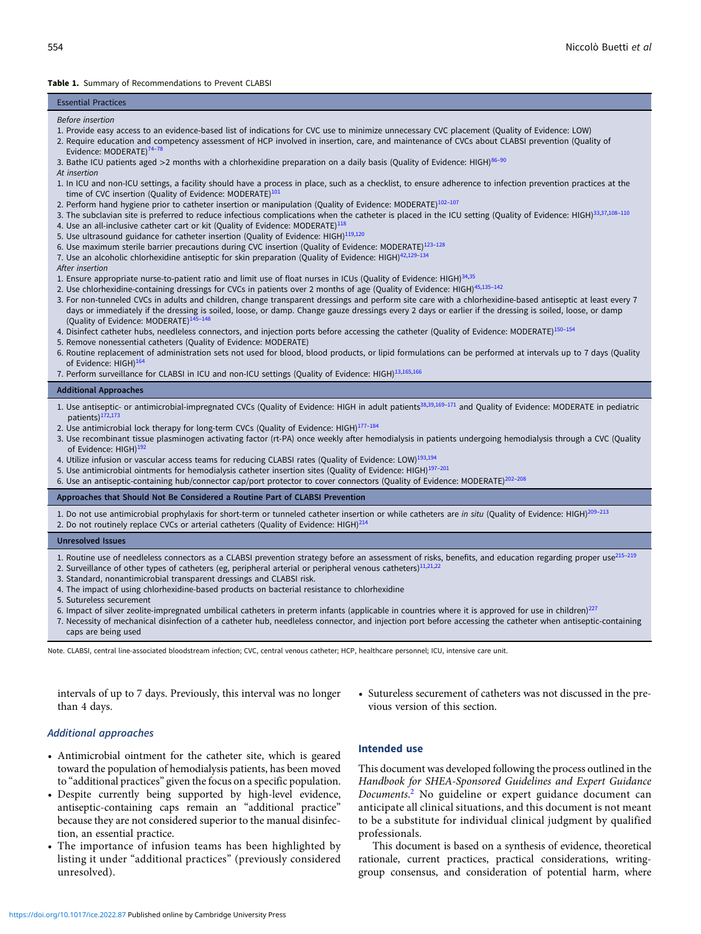#### <span id="page-1-0"></span>Table 1. Summary of Recommendations to Prevent CLABSI

#### Essential Practices

#### Before insertion

- 1. Provide easy access to an evidence-based list of indications for CVC use to minimize unnecessary CVC placement (Quality of Evidence: LOW)
- 2. Require education and competency assessment of HCP involved in insertion, care, and maintenance of CVCs about CLABSI prevention (Quality of Evidence: MODERATE)<sup>[74](#page-11-0)</sup>
- 3. Bathe ICU patients aged >2 months with a chlorhexidine preparation on a daily basis (Quality of Evidence: HIGH)<sup>[86](#page-11-0)–[90](#page-11-0)</sup>
- At insertion
- 1. In ICU and non-ICU settings, a facility should have a process in place, such as a checklist, to ensure adherence to infection prevention practices at the time of CVC insertion (Quality of Evidence: MODERATE)<sup>10</sup>
- 2. Perform hand hygiene prior to catheter insertion or manipulation (Quality of Evidence: MODERATE)<sup>[102](#page-12-0)-[107](#page-12-0)</sup>
- 3. The subclavian site is preferred to reduce infectious complications when the catheter is placed in the ICU setting (Quality of Evidence: HIGH)<sup>[33](#page-10-0),[37,](#page-10-0)[108](#page-12-0)-[110](#page-12-0)</sup>
- 4. Use an all-inclusive catheter cart or kit (Quality of Evidence: MODERATE) $^{118}$  $^{118}$  $^{118}$
- 5. Use ultrasound guidance for catheter insertion (Quality of Evidence: HIGH)<sup>[119,120](#page-12-0)</sup>
- 6. Use maximum sterile barrier precautions during CVC insertion (Quality of Evidence: MODERATE)[123](#page-12-0)–[128](#page-12-0)
- 7. Use an alcoholic chlorhexidine antiseptic for skin preparation (Quality of Evidence: HIGH)<sup>[42](#page-10-0),[129](#page-12-0)</sup>

After insertion

- 1. Ensure appropriate nurse-to-patient ratio and limit use of float nurses in ICUs (Quality of Evidence: HIGH)<sup>[34](#page-10-0),[35](#page-10-0)</sup>
- 2. Use chlorhexidine-containing dressings for CVCs in patients over 2 months of age (Quality of Evidence: HIGH)<sup>[45](#page-10-0)[,135](#page-13-0)-[142](#page-13-0)</sup>
- 3. For non-tunneled CVCs in adults and children, change transparent dressings and perform site care with a chlorhexidine-based antiseptic at least every 7 days or immediately if the dressing is soiled, loose, or damp. Change gauze dressings every 2 days or earlier if the dressing is soiled, loose, or damp (Quality of Evidence: MODERATE)<sup>[145](#page-13-0)</sup>
- 4. Disinfect catheter hubs, needleless connectors, and injection ports before accessing the catheter (Quality of Evidence: MODERATE)<sup>[150](#page-13-0)-[154](#page-13-0)</sup>
- 5. Remove nonessential catheters (Quality of Evidence: MODERATE)
- 6. Routine replacement of administration sets not used for blood, blood products, or lipid formulations can be performed at intervals up to 7 days (Quality of Evidence: HIGH)<sup>[164](#page-13-0)</sup>
- 7. Perform surveillance for CLABSI in ICU and non-ICU settings (Quality of Evidence: HIGH)<sup>[13,](#page-9-0)[165](#page-13-0),[166](#page-13-0)</sup>

#### Additional Approaches

- 1. Use antiseptic- or antimicrobial-impregnated CVCs (Quality of Evidence: HIGH in adult patients<sup>[38](#page-10-0),[39,](#page-10-0)[169](#page-13-0)-[171](#page-13-0)</sup> and Quality of Evidence: MODERATE in pediatric patients)<sup>172,17</sup>
- 2. Use antimicrobial lock therapy for long-term CVCs (Quality of Evidence: HIGH)<sup>[177](#page-14-0)-[184](#page-14-0)</sup>
- 3. Use recombinant tissue plasminogen activating factor (rt-PA) once weekly after hemodialysis in patients undergoing hemodialysis through a CVC (Quality of Evidence: HIGH)[192](#page-14-0)
- 4. Utilize infusion or vascular access teams for reducing CLABSI rates (Quality of Evidence: LOW)<sup>[193,194](#page-14-0)</sup>
- 5. Use antimicrobial ointments for hemodialysis catheter insertion sites (Quality of Evidence: HIGH)[197](#page-14-0)–[201](#page-14-0)
- 6. Use an antiseptic-containing hub/connector cap/port protector to cover connectors (Quality of Evidence: MODERATE)<sup>[202](#page-14-0)-[208](#page-14-0)</sup>

#### Approaches that Should Not Be Considered a Routine Part of CLABSI Prevention

1. Do not use antimicrobial prophylaxis for short-term or tunneled catheter insertion or while catheters are in situ (Quality of Evidence: HIGH)<sup>[209](#page-14-0)-[213](#page-15-0)</sup> 2. Do not routinely replace CVCs or arterial catheters (Quality of Evidence: HIGH) $^{214}$  $^{214}$  $^{214}$ 

#### Unresolved Issues

- 1. Routine use of needleless connectors as a CLABSI prevention strategy before an assessment of risks, benefits, and education regarding proper use<sup>[215](#page-15-0)-[219](#page-15-0)</sup>
- 2. Surveillance of other types of catheters (eg, peripheral arterial or peripheral venous catheters) $^{11,21,22}$  $^{11,21,22}$  $^{11,21,22}$  $^{11,21,22}$
- 3. Standard, nonantimicrobial transparent dressings and CLABSI risk.
- 4. The impact of using chlorhexidine-based products on bacterial resistance to chlorhexidine
- 5. Sutureless securement
- 6. Impact of silver zeolite-impregnated umbilical catheters in preterm infants (applicable in countries where it is approved for use in children)<sup>[227](#page-15-0)</sup>
- 7. Necessity of mechanical disinfection of a catheter hub, needleless connector, and injection port before accessing the catheter when antiseptic-containing caps are being used

Note. CLABSI, central line-associated bloodstream infection; CVC, central venous catheter; HCP, healthcare personnel; ICU, intensive care unit.

intervals of up to 7 days. Previously, this interval was no longer than 4 days.

• Sutureless securement of catheters was not discussed in the previous version of this section.

#### Additional approaches

- Antimicrobial ointment for the catheter site, which is geared toward the population of hemodialysis patients, has been moved to "additional practices" given the focus on a specific population.
- Despite currently being supported by high-level evidence, antiseptic-containing caps remain an "additional practice" because they are not considered superior to the manual disinfection, an essential practice.
- The importance of infusion teams has been highlighted by listing it under "additional practices" (previously considered unresolved).

#### Intended use

This document was developed following the process outlined in the Handbook for SHEA-Sponsored Guidelines and Expert Guidance Documents. [2](#page-9-0) No guideline or expert guidance document can anticipate all clinical situations, and this document is not meant to be a substitute for individual clinical judgment by qualified professionals.

This document is based on a synthesis of evidence, theoretical rationale, current practices, practical considerations, writinggroup consensus, and consideration of potential harm, where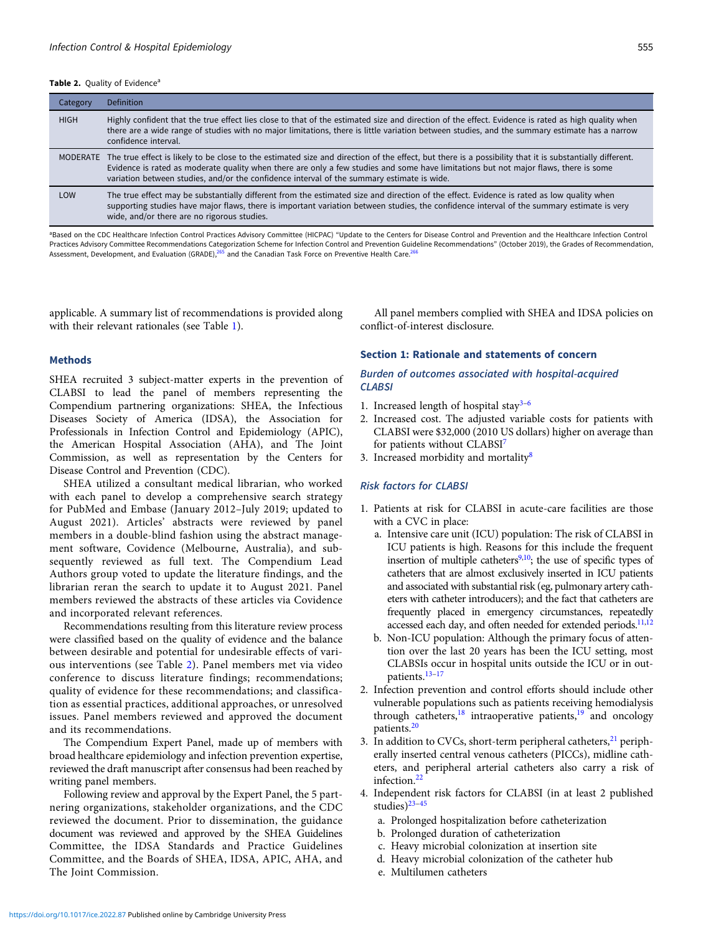#### <span id="page-2-0"></span>Table 2. Quality of Evidence<sup>a</sup>

| Category    | <b>Definition</b>                                                                                                                                                                                                                                                                                                                                                                                      |
|-------------|--------------------------------------------------------------------------------------------------------------------------------------------------------------------------------------------------------------------------------------------------------------------------------------------------------------------------------------------------------------------------------------------------------|
| <b>HIGH</b> | Highly confident that the true effect lies close to that of the estimated size and direction of the effect. Evidence is rated as high quality when<br>there are a wide range of studies with no major limitations, there is little variation between studies, and the summary estimate has a narrow<br>confidence interval.                                                                            |
|             | MODERATE The true effect is likely to be close to the estimated size and direction of the effect, but there is a possibility that it is substantially different.<br>Evidence is rated as moderate quality when there are only a few studies and some have limitations but not major flaws, there is some<br>variation between studies, and/or the confidence interval of the summary estimate is wide. |
| LOW         | The true effect may be substantially different from the estimated size and direction of the effect. Evidence is rated as low quality when<br>supporting studies have major flaws, there is important variation between studies, the confidence interval of the summary estimate is very<br>wide, and/or there are no rigorous studies.                                                                 |

<sup>a</sup>Based on the CDC Healthcare Infection Control Practices Advisory Committee (HICPAC) "Update to the Centers for Disease Control and Prevention and the Healthcare Infection Control Practices Advisory Committee Recommendations Categorization Scheme for Infection Control and Prevention Guideline Recommendations" (October 2019), the Grades of Recommendation,<br>Assessment, Development, and Evaluation (GRAD

applicable. A summary list of recommendations is provided along with their relevant rationales (see Table [1](#page-1-0)).

#### Methods

SHEA recruited 3 subject-matter experts in the prevention of CLABSI to lead the panel of members representing the Compendium partnering organizations: SHEA, the Infectious Diseases Society of America (IDSA), the Association for Professionals in Infection Control and Epidemiology (APIC), the American Hospital Association (AHA), and The Joint Commission, as well as representation by the Centers for Disease Control and Prevention (CDC).

SHEA utilized a consultant medical librarian, who worked with each panel to develop a comprehensive search strategy for PubMed and Embase (January 2012–July 2019; updated to August 2021). Articles' abstracts were reviewed by panel members in a double-blind fashion using the abstract management software, Covidence (Melbourne, Australia), and subsequently reviewed as full text. The Compendium Lead Authors group voted to update the literature findings, and the librarian reran the search to update it to August 2021. Panel members reviewed the abstracts of these articles via Covidence and incorporated relevant references.

Recommendations resulting from this literature review process were classified based on the quality of evidence and the balance between desirable and potential for undesirable effects of various interventions (see Table 2). Panel members met via video conference to discuss literature findings; recommendations; quality of evidence for these recommendations; and classification as essential practices, additional approaches, or unresolved issues. Panel members reviewed and approved the document and its recommendations.

The Compendium Expert Panel, made up of members with broad healthcare epidemiology and infection prevention expertise, reviewed the draft manuscript after consensus had been reached by writing panel members.

Following review and approval by the Expert Panel, the 5 partnering organizations, stakeholder organizations, and the CDC reviewed the document. Prior to dissemination, the guidance document was reviewed and approved by the SHEA Guidelines Committee, the IDSA Standards and Practice Guidelines Committee, and the Boards of SHEA, IDSA, APIC, AHA, and The Joint Commission.

All panel members complied with SHEA and IDSA policies on conflict-of-interest disclosure.

# Section 1: Rationale and statements of concern

# Burden of outcomes associated with hospital-acquired **CLABSI**

- 1. Increased length of hospital stay $3-6$  $3-6$  $3-6$
- 2. Increased cost. The adjusted variable costs for patients with CLABSI were \$32,000 (2010 US dollars) higher on average than for patients without CLABSI<sup>7</sup>
- 3. Increased morbidity and mortality<sup>[8](#page-9-0)</sup>

# Risk factors for CLABSI

- 1. Patients at risk for CLABSI in acute-care facilities are those with a CVC in place:
	- a. Intensive care unit (ICU) population: The risk of CLABSI in ICU patients is high. Reasons for this include the frequent insertion of multiple catheters<sup>9,10</sup>; the use of specific types of catheters that are almost exclusively inserted in ICU patients and associated with substantial risk (eg, pulmonary artery catheters with catheter introducers); and the fact that catheters are frequently placed in emergency circumstances, repeatedly accessed each day, and often needed for extended periods.<sup>11,[12](#page-9-0)</sup>
	- b. Non-ICU population: Although the primary focus of attention over the last 20 years has been the ICU setting, most CLABSIs occur in hospital units outside the ICU or in outpatients.[13](#page-9-0)–[17](#page-10-0)
- 2. Infection prevention and control efforts should include other vulnerable populations such as patients receiving hemodialysis through catheters, $18$  intraoperative patients,  $19$  and oncology patients.[20](#page-10-0)
- 3. In addition to CVCs, short-term peripheral catheters,  $^{21}$  $^{21}$  $^{21}$  peripherally inserted central venous catheters (PICCs), midline catheters, and peripheral arterial catheters also carry a risk of infection.<sup>22</sup>
- 4. Independent risk factors for CLABSI (in at least 2 published studies) $23-45$  $23-45$  $23-45$ 
	- a. Prolonged hospitalization before catheterization
	- b. Prolonged duration of catheterization
	- c. Heavy microbial colonization at insertion site
	- d. Heavy microbial colonization of the catheter hub
	- e. Multilumen catheters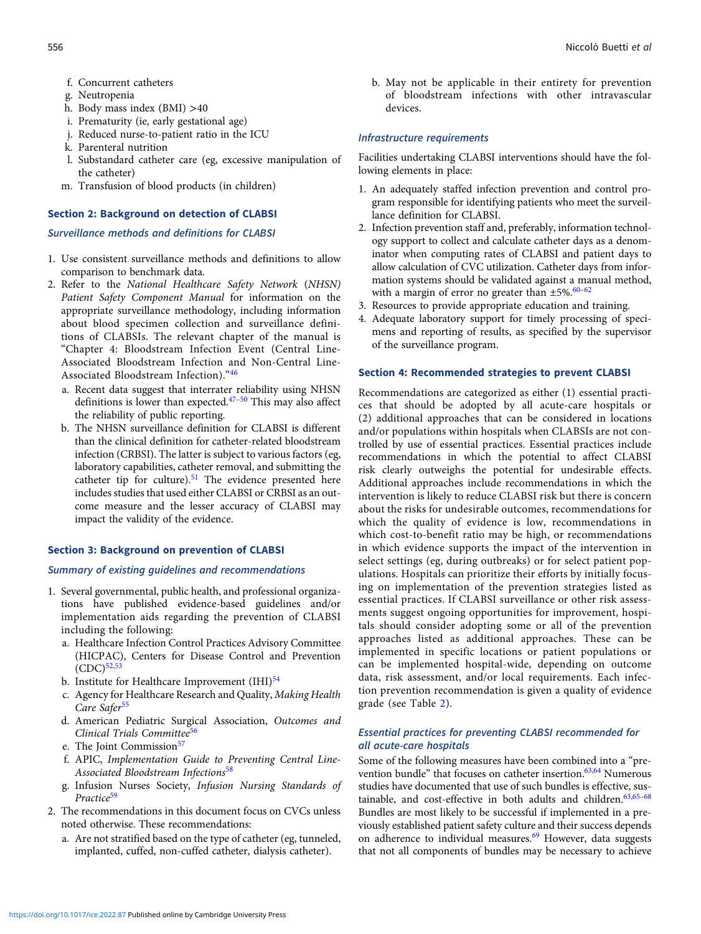- f. Concurrent catheters
- g. Neutropenia
- h. Body mass index (BMI) >40
- i. Prematurity (ie, early gestational age)
- j. Reduced nurse-to-patient ratio in the ICU
- k. Parenteral nutrition
- l. Substandard catheter care (eg, excessive manipulation of the catheter)
- m. Transfusion of blood products (in children)

# Section 2: Background on detection of CLABSI

# Surveillance methods and definitions for CLABSI

- 1. Use consistent surveillance methods and definitions to allow comparison to benchmark data.
- 2. Refer to the National Healthcare Safety Network (NHSN) Patient Safety Component Manual for information on the appropriate surveillance methodology, including information about blood specimen collection and surveillance definitions of CLABSIs. The relevant chapter of the manual is "Chapter 4: Bloodstream Infection Event (Central Line-Associated Bloodstream Infection and Non-Central Line-Associated Bloodstream Infection)."[46](#page-10-0)
	- a. Recent data suggest that interrater reliability using NHSN definitions is lower than expected.[47](#page-10-0)–[50](#page-10-0) This may also affect the reliability of public reporting.
	- b. The NHSN surveillance definition for CLABSI is different than the clinical definition for catheter-related bloodstream infection (CRBSI). The latter is subject to various factors (eg, laboratory capabilities, catheter removal, and submitting the catheter tip for culture). $51$  The evidence presented here includes studies that used either CLABSI or CRBSI as an outcome measure and the lesser accuracy of CLABSI may impact the validity of the evidence.

# Section 3: Background on prevention of CLABSI

# Summary of existing guidelines and recommendations

- 1. Several governmental, public health, and professional organizations have published evidence-based guidelines and/or implementation aids regarding the prevention of CLABSI including the following:
	- a. Healthcare Infection Control Practices Advisory Committee (HICPAC), Centers for Disease Control and Prevention  $(CDC)^{52,53}$  $(CDC)^{52,53}$  $(CDC)^{52,53}$  $(CDC)^{52,53}$  $(CDC)^{52,53}$
	- b. Institute for Healthcare Improvement  $(HII)^{54}$
	- c. Agency for Healthcare Research and Quality, Making Health Care Safer<sup>[55](#page-10-0)</sup>
	- d. American Pediatric Surgical Association, Outcomes and Clinical Trials Committee<sup>[56](#page-11-0)</sup>
	- e. The Joint Commission<sup>[57](#page-11-0)</sup>
	- f. APIC, Implementation Guide to Preventing Central Line-Associated Bloodstream Infections<sup>[58](#page-11-0)</sup>
	- g. Infusion Nurses Society, Infusion Nursing Standards of Practice<sup>[59](#page-11-0)</sup>
- 2. The recommendations in this document focus on CVCs unless noted otherwise. These recommendations:
	- a. Are not stratified based on the type of catheter (eg, tunneled, implanted, cuffed, non-cuffed catheter, dialysis catheter).

b. May not be applicable in their entirety for prevention of bloodstream infections with other intravascular devices.

# Infrastructure requirements

Facilities undertaking CLABSI interventions should have the following elements in place:

- 1. An adequately staffed infection prevention and control program responsible for identifying patients who meet the surveillance definition for CLABSI.
- 2. Infection prevention staff and, preferably, information technology support to collect and calculate catheter days as a denominator when computing rates of CLABSI and patient days to allow calculation of CVC utilization. Catheter days from information systems should be validated against a manual method, with a margin of error no greater than  $\pm 5\%.$ <sup>[60](#page-11-0)-[62](#page-11-0)</sup>
- 3. Resources to provide appropriate education and training.
- 4. Adequate laboratory support for timely processing of specimens and reporting of results, as specified by the supervisor of the surveillance program.

# Section 4: Recommended strategies to prevent CLABSI

Recommendations are categorized as either (1) essential practices that should be adopted by all acute-care hospitals or (2) additional approaches that can be considered in locations and/or populations within hospitals when CLABSIs are not controlled by use of essential practices. Essential practices include recommendations in which the potential to affect CLABSI risk clearly outweighs the potential for undesirable effects. Additional approaches include recommendations in which the intervention is likely to reduce CLABSI risk but there is concern about the risks for undesirable outcomes, recommendations for which the quality of evidence is low, recommendations in which cost-to-benefit ratio may be high, or recommendations in which evidence supports the impact of the intervention in select settings (eg, during outbreaks) or for select patient populations. Hospitals can prioritize their efforts by initially focusing on implementation of the prevention strategies listed as essential practices. If CLABSI surveillance or other risk assessments suggest ongoing opportunities for improvement, hospitals should consider adopting some or all of the prevention approaches listed as additional approaches. These can be implemented in specific locations or patient populations or can be implemented hospital-wide, depending on outcome data, risk assessment, and/or local requirements. Each infection prevention recommendation is given a quality of evidence grade (see Table [2\)](#page-2-0).

# Essential practices for preventing CLABSI recommended for all acute-care hospitals

Some of the following measures have been combined into a "pre-vention bundle" that focuses on catheter insertion.<sup>[63,64](#page-11-0)</sup> Numerous studies have documented that use of such bundles is effective, sustainable, and cost-effective in both adults and children. $63,65-68$  $63,65-68$  $63,65-68$ Bundles are most likely to be successful if implemented in a previously established patient safety culture and their success depends on adherence to individual measures.<sup>[69](#page-11-0)</sup> However, data suggests that not all components of bundles may be necessary to achieve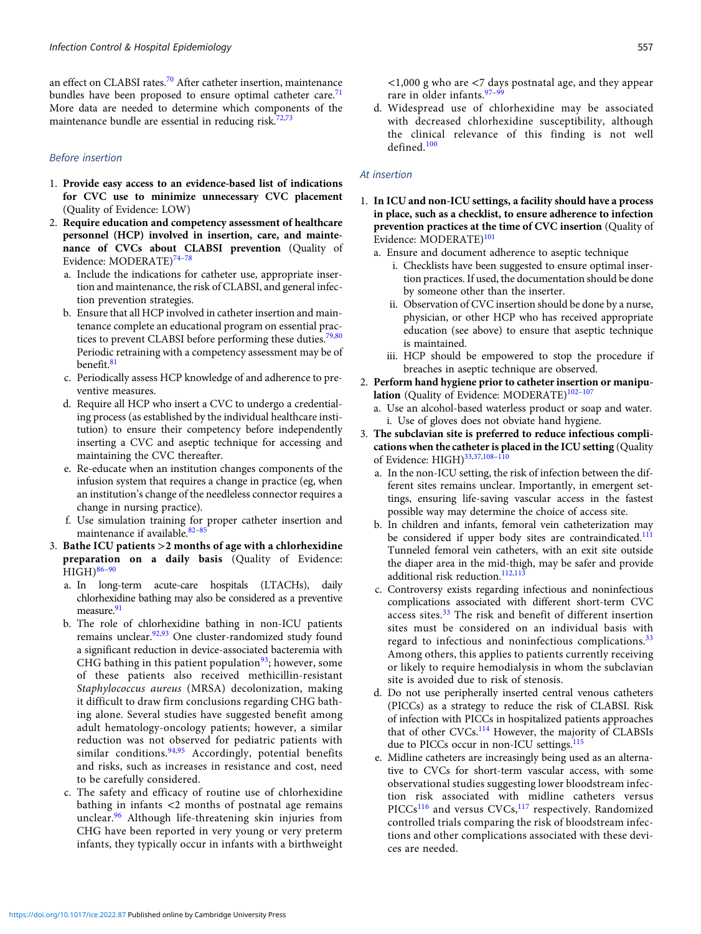an effect on CLABSI rates.<sup>[70](#page-11-0)</sup> After catheter insertion, maintenance bundles have been proposed to ensure optimal catheter care.<sup>[71](#page-11-0)</sup> More data are needed to determine which components of the maintenance bundle are essential in reducing risk.<sup>[72,73](#page-11-0)</sup>

# Before insertion

- 1. Provide easy access to an evidence-based list of indications for CVC use to minimize unnecessary CVC placement (Quality of Evidence: LOW)
- 2. Require education and competency assessment of healthcare personnel (HCP) involved in insertion, care, and maintenance of CVCs about CLABSI prevention (Quality of Evidence: MODERATE)[74](#page-11-0)–[78](#page-11-0)
	- a. Include the indications for catheter use, appropriate insertion and maintenance, the risk of CLABSI, and general infection prevention strategies.
	- b. Ensure that all HCP involved in catheter insertion and maintenance complete an educational program on essential prac-tices to prevent CLABSI before performing these duties.<sup>[79](#page-11-0),[80](#page-11-0)</sup> Periodic retraining with a competency assessment may be of benefit.[81](#page-11-0)
	- c. Periodically assess HCP knowledge of and adherence to preventive measures.
	- d. Require all HCP who insert a CVC to undergo a credentialing process (as established by the individual healthcare institution) to ensure their competency before independently inserting a CVC and aseptic technique for accessing and maintaining the CVC thereafter.
	- e. Re-educate when an institution changes components of the infusion system that requires a change in practice (eg, when an institution's change of the needleless connector requires a change in nursing practice).
	- f. Use simulation training for proper catheter insertion and maintenance if available.<sup>[82](#page-11-0)-[85](#page-11-0)</sup>
- 3. Bathe ICU patients >2 months of age with a chlorhexidine preparation on a daily basis (Quality of Evidence:  $HIGH)$ <sup>[86](#page-11-0)-[90](#page-11-0)</sup>
	- a. In long-term acute-care hospitals (LTACHs), daily chlorhexidine bathing may also be considered as a preventive measure.<sup>[91](#page-11-0)</sup>
	- b. The role of chlorhexidine bathing in non-ICU patients remains unclear.<sup>92,93</sup> One cluster-randomized study found a significant reduction in device-associated bacteremia with CHG bathing in this patient population  $93$ ; however, some of these patients also received methicillin-resistant Staphylococcus aureus (MRSA) decolonization, making it difficult to draw firm conclusions regarding CHG bathing alone. Several studies have suggested benefit among adult hematology-oncology patients; however, a similar reduction was not observed for pediatric patients with similar conditions.<sup>[94](#page-11-0),[95](#page-11-0)</sup> Accordingly, potential benefits and risks, such as increases in resistance and cost, need to be carefully considered.
	- c. The safety and efficacy of routine use of chlorhexidine bathing in infants <2 months of postnatal age remains unclear.<sup>[96](#page-12-0)</sup> Although life-threatening skin injuries from CHG have been reported in very young or very preterm infants, they typically occur in infants with a birthweight

d. Widespread use of chlorhexidine may be associated with decreased chlorhexidine susceptibility, although the clinical relevance of this finding is not well defined.<sup>[100](#page-12-0)</sup>

## At insertion

- 1. In ICU and non-ICU settings, a facility should have a process in place, such as a checklist, to ensure adherence to infection prevention practices at the time of CVC insertion (Quality of Evidence: MODERATE)<sup>[101](#page-12-0)</sup>
	- a. Ensure and document adherence to aseptic technique
		- i. Checklists have been suggested to ensure optimal insertion practices. If used, the documentation should be done by someone other than the inserter.
		- ii. Observation of CVC insertion should be done by a nurse, physician, or other HCP who has received appropriate education (see above) to ensure that aseptic technique is maintained.
		- iii. HCP should be empowered to stop the procedure if breaches in aseptic technique are observed.
- 2. Perform hand hygiene prior to catheter insertion or manipulation (Quality of Evidence: MODERATE) $102-107$  $102-107$  $102-107$ 
	- a. Use an alcohol-based waterless product or soap and water. i. Use of gloves does not obviate hand hygiene.
- 3. The subclavian site is preferred to reduce infectious complications when the catheter is placed in the ICU setting (Quality of Evidence: HIGH)<sup>[33,37,](#page-10-0)[108](#page-12-0)-[110](#page-12-0)</sup>
	- a. In the non-ICU setting, the risk of infection between the different sites remains unclear. Importantly, in emergent settings, ensuring life-saving vascular access in the fastest possible way may determine the choice of access site.
	- b. In children and infants, femoral vein catheterization may be considered if upper body sites are contraindicated.<sup>111</sup> Tunneled femoral vein catheters, with an exit site outside the diaper area in the mid-thigh, may be safer and provide additional risk reduction.<sup>[112,113](#page-12-0)</sup>
	- c. Controversy exists regarding infectious and noninfectious complications associated with different short-term CVC access sites.<sup>[33](#page-10-0)</sup> The risk and benefit of different insertion sites must be considered on an individual basis with regard to infectious and noninfectious complications.<sup>[33](#page-10-0)</sup> Among others, this applies to patients currently receiving or likely to require hemodialysis in whom the subclavian site is avoided due to risk of stenosis.
	- d. Do not use peripherally inserted central venous catheters (PICCs) as a strategy to reduce the risk of CLABSI. Risk of infection with PICCs in hospitalized patients approaches that of other CVCs.<sup>[114](#page-12-0)</sup> However, the majority of CLABSIs due to PICCs occur in non-ICU settings.<sup>[115](#page-12-0)</sup>
	- e. Midline catheters are increasingly being used as an alternative to CVCs for short-term vascular access, with some observational studies suggesting lower bloodstream infection risk associated with midline catheters versus PICCs<sup>[116](#page-12-0)</sup> and versus CVCs,<sup>[117](#page-12-0)</sup> respectively. Randomized controlled trials comparing the risk of bloodstream infections and other complications associated with these devices are needed.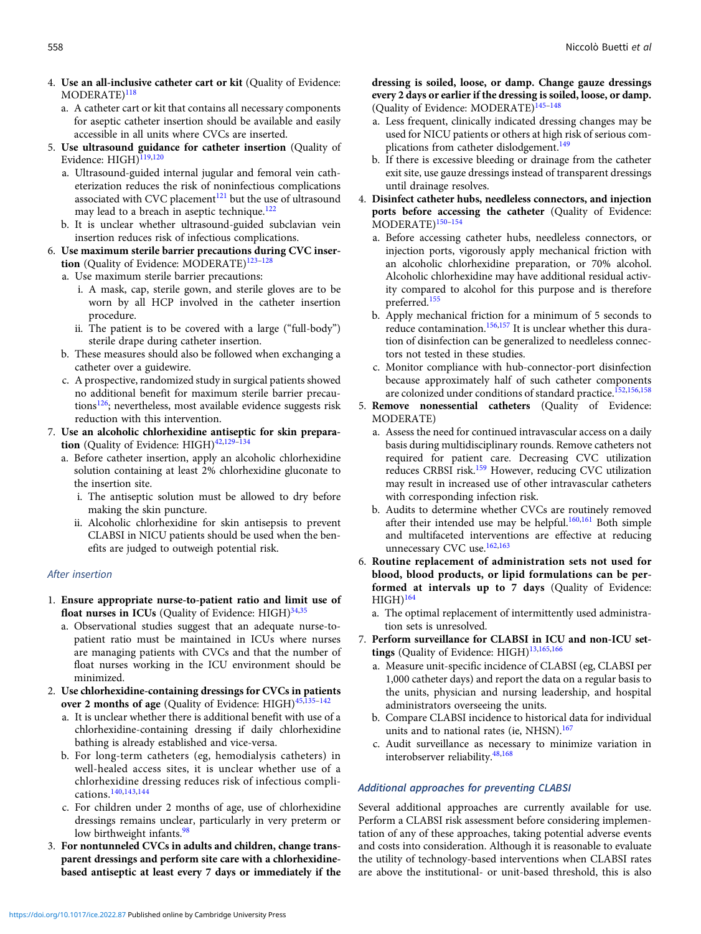- 4. Use an all-inclusive catheter cart or kit (Quality of Evidence: MODERATE)<sup>[118](#page-12-0)</sup>
	- a. A catheter cart or kit that contains all necessary components for aseptic catheter insertion should be available and easily accessible in all units where CVCs are inserted.
- 5. Use ultrasound guidance for catheter insertion (Quality of Evidence: HIGH)<sup>[119](#page-12-0),[120](#page-12-0)</sup>
	- a. Ultrasound-guided internal jugular and femoral vein catheterization reduces the risk of noninfectious complications associated with CVC placement $121$  but the use of ultrasound may lead to a breach in aseptic technique.<sup>[122](#page-12-0)</sup>
	- b. It is unclear whether ultrasound-guided subclavian vein insertion reduces risk of infectious complications.
- 6. Use maximum sterile barrier precautions during CVC inser-tion (Quality of Evidence: MODERATE)<sup>[123](#page-12-0)-[128](#page-12-0)</sup>
	- a. Use maximum sterile barrier precautions:
		- i. A mask, cap, sterile gown, and sterile gloves are to be worn by all HCP involved in the catheter insertion procedure.
		- ii. The patient is to be covered with a large ("full-body") sterile drape during catheter insertion.
	- b. These measures should also be followed when exchanging a catheter over a guidewire.
	- c. A prospective, randomized study in surgical patients showed no additional benefit for maximum sterile barrier precautions<sup>126</sup>; nevertheless, most available evidence suggests risk reduction with this intervention.
- 7. Use an alcoholic chlorhexidine antiseptic for skin prepara-tion (Quality of Evidence: HIGH)<sup>[42](#page-10-0)[,129](#page-12-0)-[134](#page-13-0)</sup>
	- a. Before catheter insertion, apply an alcoholic chlorhexidine solution containing at least 2% chlorhexidine gluconate to the insertion site.
		- i. The antiseptic solution must be allowed to dry before making the skin puncture.
		- ii. Alcoholic chlorhexidine for skin antisepsis to prevent CLABSI in NICU patients should be used when the benefits are judged to outweigh potential risk.

## After insertion

- 1. Ensure appropriate nurse-to-patient ratio and limit use of float nurses in ICUs (Quality of Evidence:  $HIGH)^{34,35}$  $HIGH)^{34,35}$  $HIGH)^{34,35}$  $HIGH)^{34,35}$  $HIGH)^{34,35}$ 
	- a. Observational studies suggest that an adequate nurse-topatient ratio must be maintained in ICUs where nurses are managing patients with CVCs and that the number of float nurses working in the ICU environment should be minimized.
- 2. Use chlorhexidine-containing dressings for CVCs in patients over 2 months of age (Quality of Evidence:  $HIGH)^{45,135-142}$  $HIGH)^{45,135-142}$  $HIGH)^{45,135-142}$  $HIGH)^{45,135-142}$  $HIGH)^{45,135-142}$  $HIGH)^{45,135-142}$  $HIGH)^{45,135-142}$ 
	- a. It is unclear whether there is additional benefit with use of a chlorhexidine-containing dressing if daily chlorhexidine bathing is already established and vice-versa.
	- b. For long-term catheters (eg, hemodialysis catheters) in well-healed access sites, it is unclear whether use of a chlorhexidine dressing reduces risk of infectious complications.[140,143](#page-13-0),[144](#page-13-0)
	- c. For children under 2 months of age, use of chlorhexidine dressings remains unclear, particularly in very preterm or low birthweight infants.<sup>[98](#page-12-0)</sup>
- 3. For nontunneled CVCs in adults and children, change transparent dressings and perform site care with a chlorhexidinebased antiseptic at least every 7 days or immediately if the

dressing is soiled, loose, or damp. Change gauze dressings every 2 days or earlier if the dressing is soiled, loose, or damp. (Quality of Evidence: MODERATE)<sup>[145](#page-13-0)-[148](#page-13-0)</sup>

- a. Less frequent, clinically indicated dressing changes may be used for NICU patients or others at high risk of serious com-plications from catheter dislodgement.<sup>[149](#page-13-0)</sup>
- b. If there is excessive bleeding or drainage from the catheter exit site, use gauze dressings instead of transparent dressings until drainage resolves.
- 4. Disinfect catheter hubs, needleless connectors, and injection ports before accessing the catheter (Quality of Evidence: MODERATE)<sup>[150](#page-13-0)-[154](#page-13-0)</sup>
	- a. Before accessing catheter hubs, needleless connectors, or injection ports, vigorously apply mechanical friction with an alcoholic chlorhexidine preparation, or 70% alcohol. Alcoholic chlorhexidine may have additional residual activity compared to alcohol for this purpose and is therefore preferred.[155](#page-13-0)
	- b. Apply mechanical friction for a minimum of 5 seconds to reduce contamination.<sup>[156,157](#page-13-0)</sup> It is unclear whether this duration of disinfection can be generalized to needleless connectors not tested in these studies.
	- c. Monitor compliance with hub-connector-port disinfection because approximately half of such catheter components are colonized under conditions of standard practice.<sup>[152,156,158](#page-13-0)</sup>
- 5. Remove nonessential catheters (Quality of Evidence: MODERATE)
	- a. Assess the need for continued intravascular access on a daily basis during multidisciplinary rounds. Remove catheters not required for patient care. Decreasing CVC utilization reduces CRBSI risk.[159](#page-13-0) However, reducing CVC utilization may result in increased use of other intravascular catheters with corresponding infection risk.
	- b. Audits to determine whether CVCs are routinely removed after their intended use may be helpful. $160,161$  $160,161$  $160,161$  Both simple and multifaceted interventions are effective at reducing unnecessary CVC use.<sup>[162](#page-13-0),[163](#page-13-0)</sup>
- 6. Routine replacement of administration sets not used for blood, blood products, or lipid formulations can be performed at intervals up to 7 days (Quality of Evidence:  $HIGH)^{164}$  $HIGH)^{164}$  $HIGH)^{164}$ 
	- a. The optimal replacement of intermittently used administration sets is unresolved.
- 7. Perform surveillance for CLABSI in ICU and non-ICU set-tings (Quality of Evidence: HIGH)<sup>[13](#page-9-0),[165](#page-13-0),[166](#page-13-0)</sup>
	- a. Measure unit-specific incidence of CLABSI (eg, CLABSI per 1,000 catheter days) and report the data on a regular basis to the units, physician and nursing leadership, and hospital administrators overseeing the units.
	- b. Compare CLABSI incidence to historical data for individual units and to national rates (ie, NHSN).<sup>[167](#page-13-0)</sup>
	- c. Audit surveillance as necessary to minimize variation in interobserver reliability.<sup>[48,](#page-10-0)[168](#page-13-0)</sup>

# Additional approaches for preventing CLABSI

Several additional approaches are currently available for use. Perform a CLABSI risk assessment before considering implementation of any of these approaches, taking potential adverse events and costs into consideration. Although it is reasonable to evaluate the utility of technology-based interventions when CLABSI rates are above the institutional- or unit-based threshold, this is also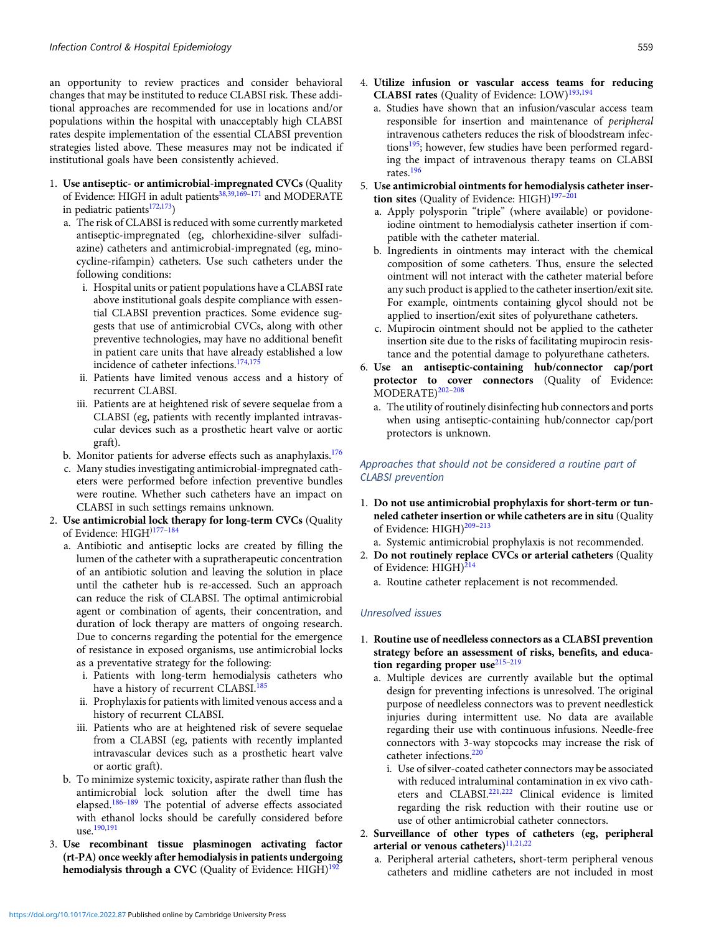an opportunity to review practices and consider behavioral changes that may be instituted to reduce CLABSI risk. These additional approaches are recommended for use in locations and/or populations within the hospital with unacceptably high CLABSI rates despite implementation of the essential CLABSI prevention strategies listed above. These measures may not be indicated if institutional goals have been consistently achieved.

- 1. Use antiseptic- or antimicrobial-impregnated CVCs (Quality of Evidence: HIGH in adult patients<sup>[38,39](#page-10-0),[169](#page-13-0)-[171](#page-13-0)</sup> and MODERATE in pediatric patients $172,173$ )
	- a. The risk of CLABSI is reduced with some currently marketed antiseptic-impregnated (eg, chlorhexidine-silver sulfadiazine) catheters and antimicrobial-impregnated (eg, minocycline-rifampin) catheters. Use such catheters under the following conditions:
		- i. Hospital units or patient populations have a CLABSI rate above institutional goals despite compliance with essential CLABSI prevention practices. Some evidence suggests that use of antimicrobial CVCs, along with other preventive technologies, may have no additional benefit in patient care units that have already established a low incidence of catheter infections.[174,175](#page-14-0)
		- ii. Patients have limited venous access and a history of recurrent CLABSI.
		- iii. Patients are at heightened risk of severe sequelae from a CLABSI (eg, patients with recently implanted intravascular devices such as a prosthetic heart valve or aortic graft).
	- b. Monitor patients for adverse effects such as anaphylaxis.<sup>[176](#page-14-0)</sup>
	- c. Many studies investigating antimicrobial-impregnated catheters were performed before infection preventive bundles were routine. Whether such catheters have an impact on CLABSI in such settings remains unknown.
- 2. Use antimicrobial lock therapy for long-term CVCs (Quality of Evidence: HIGH)[177](#page-14-0)–[184](#page-14-0)
	- a. Antibiotic and antiseptic locks are created by filling the lumen of the catheter with a supratherapeutic concentration of an antibiotic solution and leaving the solution in place until the catheter hub is re-accessed. Such an approach can reduce the risk of CLABSI. The optimal antimicrobial agent or combination of agents, their concentration, and duration of lock therapy are matters of ongoing research. Due to concerns regarding the potential for the emergence of resistance in exposed organisms, use antimicrobial locks as a preventative strategy for the following:
		- i. Patients with long-term hemodialysis catheters who have a history of recurrent CLABSI.<sup>[185](#page-14-0)</sup>
		- ii. Prophylaxis for patients with limited venous access and a history of recurrent CLABSI.
		- iii. Patients who are at heightened risk of severe sequelae from a CLABSI (eg, patients with recently implanted intravascular devices such as a prosthetic heart valve or aortic graft).
	- b. To minimize systemic toxicity, aspirate rather than flush the antimicrobial lock solution after the dwell time has elapsed.[186](#page-14-0)–[189](#page-14-0) The potential of adverse effects associated with ethanol locks should be carefully considered before use.[190,191](#page-14-0)
- 3. Use recombinant tissue plasminogen activating factor (rt-PA) once weekly after hemodialysis in patients undergoing hemodialysis through a CVC (Quality of Evidence:  $H \times H$ )<sup>192</sup>
- 4. Utilize infusion or vascular access teams for reducing CLABSI rates (Quality of Evidence: LOW)<sup>[193,194](#page-14-0)</sup>
	- a. Studies have shown that an infusion/vascular access team responsible for insertion and maintenance of peripheral intravenous catheters reduces the risk of bloodstream infections<sup>195</sup>; however, few studies have been performed regarding the impact of intravenous therapy teams on CLABSI rates.[196](#page-14-0)
- 5. Use antimicrobial ointments for hemodialysis catheter insertion sites (Quality of Evidence:  $H I G H$ )<sup>[197](#page-14-0)-[201](#page-14-0)</sup>
	- a. Apply polysporin "triple" (where available) or povidoneiodine ointment to hemodialysis catheter insertion if compatible with the catheter material.
	- b. Ingredients in ointments may interact with the chemical composition of some catheters. Thus, ensure the selected ointment will not interact with the catheter material before any such product is applied to the catheter insertion/exit site. For example, ointments containing glycol should not be applied to insertion/exit sites of polyurethane catheters.
	- c. Mupirocin ointment should not be applied to the catheter insertion site due to the risks of facilitating mupirocin resistance and the potential damage to polyurethane catheters.
- 6. Use an antiseptic-containing hub/connector cap/port protector to cover connectors (Quality of Evidence: MODERATE)<sup>[202](#page-14-0)-[208](#page-14-0)</sup>
	- a. The utility of routinely disinfecting hub connectors and ports when using antiseptic-containing hub/connector cap/port protectors is unknown.

# Approaches that should not be considered a routine part of CLABSI prevention

- 1. Do not use antimicrobial prophylaxis for short-term or tunneled catheter insertion or while catheters are in situ (Quality of Evidence: HIGH)<sup>[209](#page-14-0)-[213](#page-15-0)</sup>
	- a. Systemic antimicrobial prophylaxis is not recommended.
- 2. Do not routinely replace CVCs or arterial catheters (Quality of Evidence: HIGH)<sup>[214](#page-15-0)</sup>
	- a. Routine catheter replacement is not recommended.

# Unresolved issues

- 1. Routine use of needleless connectors as a CLABSI prevention strategy before an assessment of risks, benefits, and education regarding proper use $215-219$  $215-219$  $215-219$ 
	- a. Multiple devices are currently available but the optimal design for preventing infections is unresolved. The original purpose of needleless connectors was to prevent needlestick injuries during intermittent use. No data are available regarding their use with continuous infusions. Needle-free connectors with 3-way stopcocks may increase the risk of catheter infections.<sup>[220](#page-15-0)</sup>
		- i. Use of silver-coated catheter connectors may be associated with reduced intraluminal contamination in ex vivo cath-eters and CLABSI.<sup>[221,222](#page-15-0)</sup> Clinical evidence is limited regarding the risk reduction with their routine use or use of other antimicrobial catheter connectors.
- 2. Surveillance of other types of catheters (eg, peripheral arterial or venous catheters) $11,21,22$  $11,21,22$ 
	- a. Peripheral arterial catheters, short-term peripheral venous catheters and midline catheters are not included in most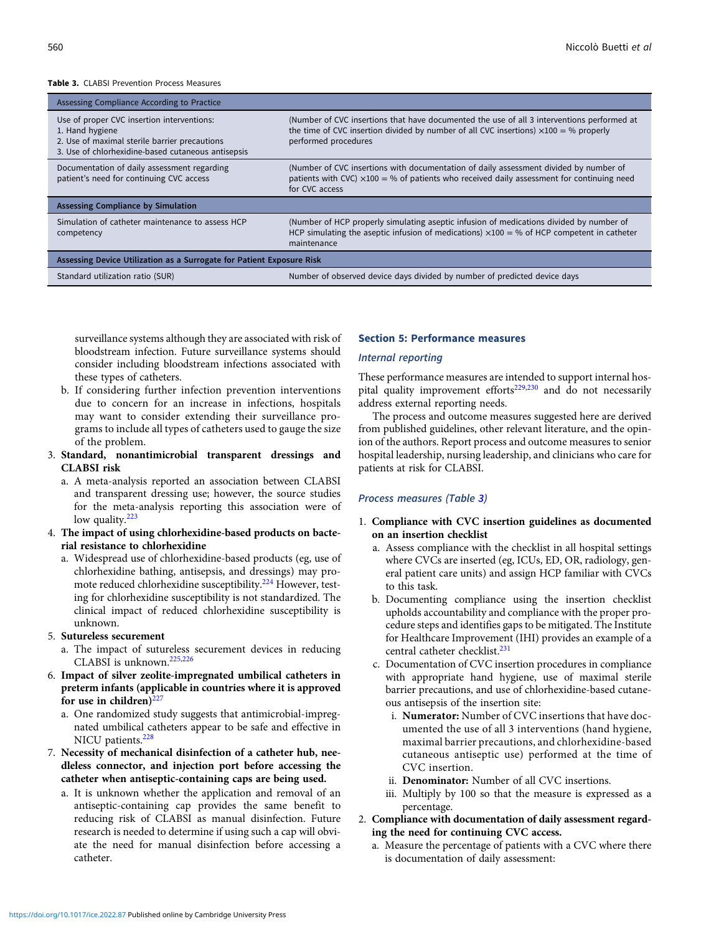#### Table 3. CLABSI Prevention Process Measures

| Assessing Compliance According to Practice                                                                                                                           |                                                                                                                                                                                                                    |  |  |
|----------------------------------------------------------------------------------------------------------------------------------------------------------------------|--------------------------------------------------------------------------------------------------------------------------------------------------------------------------------------------------------------------|--|--|
| Use of proper CVC insertion interventions:<br>1. Hand hygiene<br>2. Use of maximal sterile barrier precautions<br>3. Use of chlorhexidine-based cutaneous antisepsis | (Number of CVC insertions that have documented the use of all 3 interventions performed at<br>the time of CVC insertion divided by number of all CVC insertions) $\times$ 100 = % properly<br>performed procedures |  |  |
| Documentation of daily assessment regarding<br>patient's need for continuing CVC access                                                                              | (Number of CVC insertions with documentation of daily assessment divided by number of<br>patients with CVC) $\times$ 100 = % of patients who received daily assessment for continuing need<br>for CVC access       |  |  |
| <b>Assessing Compliance by Simulation</b>                                                                                                                            |                                                                                                                                                                                                                    |  |  |
| Simulation of catheter maintenance to assess HCP<br>competency                                                                                                       | (Number of HCP properly simulating aseptic infusion of medications divided by number of<br>HCP simulating the aseptic infusion of medications) $\times$ 100 = % of HCP competent in catheter<br>maintenance        |  |  |
| Assessing Device Utilization as a Surrogate for Patient Exposure Risk                                                                                                |                                                                                                                                                                                                                    |  |  |
| Standard utilization ratio (SUR)                                                                                                                                     | Number of observed device days divided by number of predicted device days                                                                                                                                          |  |  |

surveillance systems although they are associated with risk of bloodstream infection. Future surveillance systems should consider including bloodstream infections associated with these types of catheters.

- b. If considering further infection prevention interventions due to concern for an increase in infections, hospitals may want to consider extending their surveillance programs to include all types of catheters used to gauge the size of the problem.
- 3. Standard, nonantimicrobial transparent dressings and CLABSI risk
	- a. A meta-analysis reported an association between CLABSI and transparent dressing use; however, the source studies for the meta-analysis reporting this association were of low quality. $223$
- 4. The impact of using chlorhexidine-based products on bacterial resistance to chlorhexidine
	- a. Widespread use of chlorhexidine-based products (eg, use of chlorhexidine bathing, antisepsis, and dressings) may pro-mote reduced chlorhexidine susceptibility.<sup>[224](#page-15-0)</sup> However, testing for chlorhexidine susceptibility is not standardized. The clinical impact of reduced chlorhexidine susceptibility is unknown.

# 5. Sutureless securement

- a. The impact of sutureless securement devices in reducing CLABSI is unknown.[225,226](#page-15-0)
- 6. Impact of silver zeolite-impregnated umbilical catheters in preterm infants (applicable in countries where it is approved for use in children) $227$ 
	- a. One randomized study suggests that antimicrobial-impregnated umbilical catheters appear to be safe and effective in NICU patients.<sup>[228](#page-15-0)</sup>
- 7. Necessity of mechanical disinfection of a catheter hub, needleless connector, and injection port before accessing the catheter when antiseptic-containing caps are being used.
	- a. It is unknown whether the application and removal of an antiseptic-containing cap provides the same benefit to reducing risk of CLABSI as manual disinfection. Future research is needed to determine if using such a cap will obviate the need for manual disinfection before accessing a catheter.

## Section 5: Performance measures

## Internal reporting

These performance measures are intended to support internal hos-pital quality improvement efforts<sup>[229](#page-15-0),[230](#page-15-0)</sup> and do not necessarily address external reporting needs.

The process and outcome measures suggested here are derived from published guidelines, other relevant literature, and the opinion of the authors. Report process and outcome measures to senior hospital leadership, nursing leadership, and clinicians who care for patients at risk for CLABSI.

## Process measures (Table 3)

- 1. Compliance with CVC insertion guidelines as documented on an insertion checklist
	- a. Assess compliance with the checklist in all hospital settings where CVCs are inserted (eg, ICUs, ED, OR, radiology, general patient care units) and assign HCP familiar with CVCs to this task.
	- b. Documenting compliance using the insertion checklist upholds accountability and compliance with the proper procedure steps and identifies gaps to be mitigated. The Institute for Healthcare Improvement (IHI) provides an example of a central catheter checklist.<sup>231</sup>
	- c. Documentation of CVC insertion procedures in compliance with appropriate hand hygiene, use of maximal sterile barrier precautions, and use of chlorhexidine-based cutaneous antisepsis of the insertion site:
		- i. Numerator: Number of CVC insertions that have documented the use of all 3 interventions (hand hygiene, maximal barrier precautions, and chlorhexidine-based cutaneous antiseptic use) performed at the time of CVC insertion.
		- ii. Denominator: Number of all CVC insertions.
		- iii. Multiply by 100 so that the measure is expressed as a percentage.
- 2. Compliance with documentation of daily assessment regarding the need for continuing CVC access.
	- a. Measure the percentage of patients with a CVC where there is documentation of daily assessment: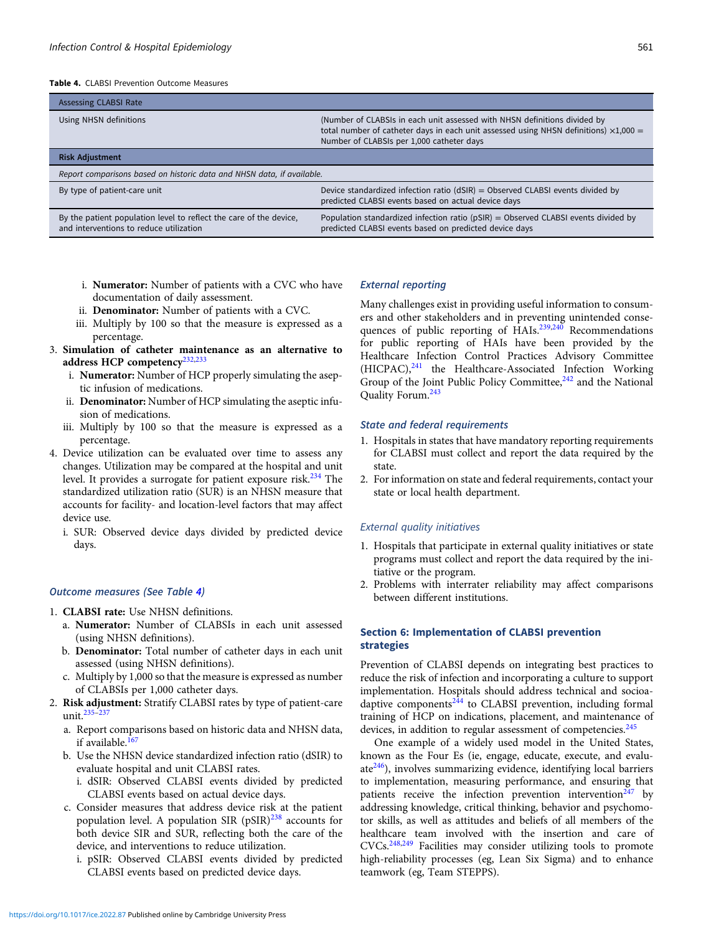Table 4. CLABSI Prevention Outcome Measures

| <b>Assessing CLABSI Rate</b>                                                                                  |                                                                                                                                                                                                                        |  |  |
|---------------------------------------------------------------------------------------------------------------|------------------------------------------------------------------------------------------------------------------------------------------------------------------------------------------------------------------------|--|--|
| Using NHSN definitions                                                                                        | (Number of CLABSIs in each unit assessed with NHSN definitions divided by<br>total number of catheter days in each unit assessed using NHSN definitions) $\times$ 1,000 =<br>Number of CLABSIs per 1,000 catheter days |  |  |
| <b>Risk Adjustment</b>                                                                                        |                                                                                                                                                                                                                        |  |  |
| Report comparisons based on historic data and NHSN data, if available.                                        |                                                                                                                                                                                                                        |  |  |
| By type of patient-care unit                                                                                  | Device standardized infection ratio ( $dSIR$ ) = Observed CLABSI events divided by<br>predicted CLABSI events based on actual device days                                                                              |  |  |
| By the patient population level to reflect the care of the device,<br>and interventions to reduce utilization | Population standardized infection ratio ( $pSIR$ ) = Observed CLABSI events divided by<br>predicted CLABSI events based on predicted device days                                                                       |  |  |

- i. Numerator: Number of patients with a CVC who have documentation of daily assessment.
- ii. Denominator: Number of patients with a CVC.
- iii. Multiply by 100 so that the measure is expressed as a percentage.
- 3. Simulation of catheter maintenance as an alternative to address HCP competency<sup>[232,233](#page-15-0)</sup>
	- i. Numerator: Number of HCP properly simulating the aseptic infusion of medications.
	- ii. Denominator: Number of HCP simulating the aseptic infusion of medications.
	- iii. Multiply by 100 so that the measure is expressed as a percentage.
- 4. Device utilization can be evaluated over time to assess any changes. Utilization may be compared at the hospital and unit level. It provides a surrogate for patient exposure risk.<sup>[234](#page-15-0)</sup> The standardized utilization ratio (SUR) is an NHSN measure that accounts for facility- and location-level factors that may affect device use.
	- i. SUR: Observed device days divided by predicted device days.

### Outcome measures (See Table 4)

- 1. CLABSI rate: Use NHSN definitions.
	- a. Numerator: Number of CLABSIs in each unit assessed (using NHSN definitions).
	- b. Denominator: Total number of catheter days in each unit assessed (using NHSN definitions).
	- c. Multiply by 1,000 so that the measure is expressed as number of CLABSIs per 1,000 catheter days.
- 2. Risk adjustment: Stratify CLABSI rates by type of patient-care unit.[235](#page-15-0)–[237](#page-15-0)
	- a. Report comparisons based on historic data and NHSN data, if available. $16$
	- b. Use the NHSN device standardized infection ratio (dSIR) to evaluate hospital and unit CLABSI rates.
		- i. dSIR: Observed CLABSI events divided by predicted CLABSI events based on actual device days.
	- c. Consider measures that address device risk at the patient population level. A population SIR  $(pSIR)^{238}$  $(pSIR)^{238}$  $(pSIR)^{238}$  accounts for both device SIR and SUR, reflecting both the care of the device, and interventions to reduce utilization.
		- i. pSIR: Observed CLABSI events divided by predicted CLABSI events based on predicted device days.

#### External reporting

Many challenges exist in providing useful information to consumers and other stakeholders and in preventing unintended conse-quences of public reporting of HAIs.<sup>[239,240](#page-15-0)</sup> Recommendations for public reporting of HAIs have been provided by the Healthcare Infection Control Practices Advisory Committee (HICPAC),<sup>[241](#page-15-0)</sup> the Healthcare-Associated Infection Working Group of the Joint Public Policy Committee,<sup>[242](#page-15-0)</sup> and the National Quality Forum.[243](#page-15-0)

#### State and federal requirements

- 1. Hospitals in states that have mandatory reporting requirements for CLABSI must collect and report the data required by the state.
- 2. For information on state and federal requirements, contact your state or local health department.

#### External quality initiatives

- 1. Hospitals that participate in external quality initiatives or state programs must collect and report the data required by the initiative or the program.
- 2. Problems with interrater reliability may affect comparisons between different institutions.

## Section 6: Implementation of CLABSI prevention strategies

Prevention of CLABSI depends on integrating best practices to reduce the risk of infection and incorporating a culture to support implementation. Hospitals should address technical and socioa-daptive components<sup>[244](#page-15-0)</sup> to CLABSI prevention, including formal training of HCP on indications, placement, and maintenance of devices, in addition to regular assessment of competencies.<sup>[245](#page-15-0)</sup>

One example of a widely used model in the United States, known as the Four Es (ie, engage, educate, execute, and evalu $ate^{246}$ ), involves summarizing evidence, identifying local barriers to implementation, measuring performance, and ensuring that patients receive the infection prevention intervention<sup> $247$ </sup> by addressing knowledge, critical thinking, behavior and psychomotor skills, as well as attitudes and beliefs of all members of the healthcare team involved with the insertion and care of CVCs.[248](#page-15-0),[249](#page-16-0) Facilities may consider utilizing tools to promote high-reliability processes (eg, Lean Six Sigma) and to enhance teamwork (eg, Team STEPPS).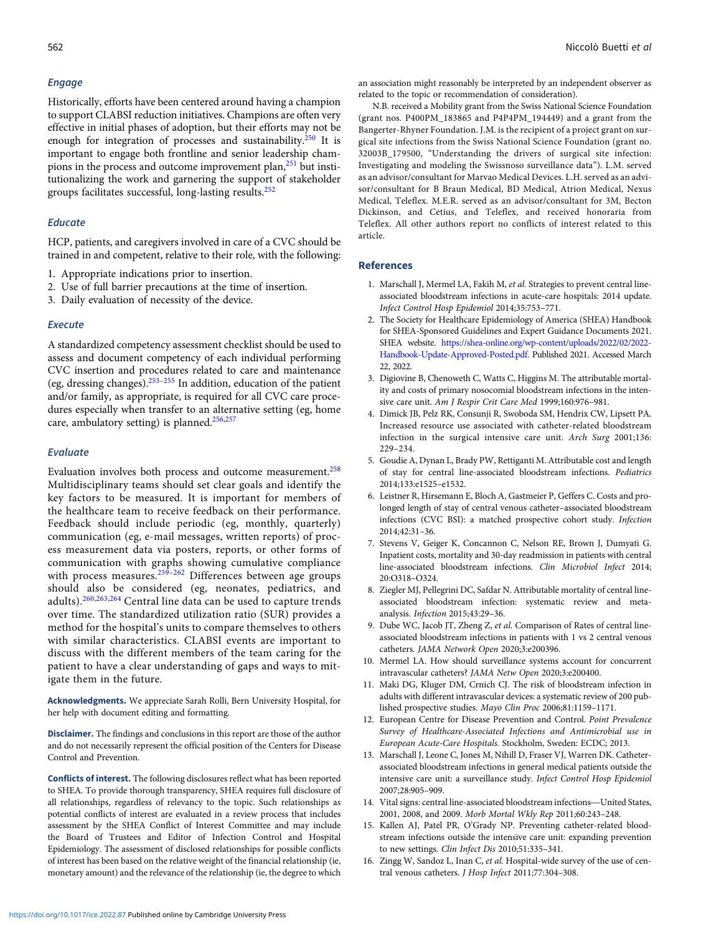## <span id="page-9-0"></span>Engage

Historically, efforts have been centered around having a champion to support CLABSI reduction initiatives. Champions are often very effective in initial phases of adoption, but their efforts may not be enough for integration of processes and sustainability. $250$  It is important to engage both frontline and senior leadership cham-pions in the process and outcome improvement plan,<sup>[251](#page-16-0)</sup> but institutionalizing the work and garnering the support of stakeholder groups facilitates successful, long-lasting results.[252](#page-16-0)

## Educate

HCP, patients, and caregivers involved in care of a CVC should be trained in and competent, relative to their role, with the following:

- 1. Appropriate indications prior to insertion.
- 2. Use of full barrier precautions at the time of insertion.
- 3. Daily evaluation of necessity of the device.

## **Execute**

A standardized competency assessment checklist should be used to assess and document competency of each individual performing CVC insertion and procedures related to care and maintenance (eg, dressing changes).<sup>[253](#page-16-0)–[255](#page-16-0)</sup> In addition, education of the patient and/or family, as appropriate, is required for all CVC care procedures especially when transfer to an alternative setting (eg, home care, ambulatory setting) is planned.<sup>[256,257](#page-16-0)</sup>

## Evaluate

Evaluation involves both process and outcome measurement.<sup>[258](#page-16-0)</sup> Multidisciplinary teams should set clear goals and identify the key factors to be measured. It is important for members of the healthcare team to receive feedback on their performance. Feedback should include periodic (eg, monthly, quarterly) communication (eg, e-mail messages, written reports) of process measurement data via posters, reports, or other forms of communication with graphs showing cumulative compliance with process measures.<sup>[259](#page-16-0)-[262](#page-16-0)</sup> Differences between age groups should also be considered (eg, neonates, pediatrics, and adults).[260](#page-16-0),[263,264](#page-16-0) Central line data can be used to capture trends over time. The standardized utilization ratio (SUR) provides a method for the hospital's units to compare themselves to others with similar characteristics. CLABSI events are important to discuss with the different members of the team caring for the patient to have a clear understanding of gaps and ways to mitigate them in the future.

Acknowledgments. We appreciate Sarah Rolli, Bern University Hospital, for her help with document editing and formatting.

Disclaimer. The findings and conclusions in this report are those of the author and do not necessarily represent the official position of the Centers for Disease Control and Prevention.

Conflicts of interest. The following disclosures reflect what has been reported to SHEA. To provide thorough transparency, SHEA requires full disclosure of all relationships, regardless of relevancy to the topic. Such relationships as potential conflicts of interest are evaluated in a review process that includes assessment by the SHEA Conflict of Interest Committee and may include the Board of Trustees and Editor of Infection Control and Hospital Epidemiology. The assessment of disclosed relationships for possible conflicts of interest has been based on the relative weight of the financial relationship (ie, monetary amount) and the relevance of the relationship (ie, the degree to which

an association might reasonably be interpreted by an independent observer as related to the topic or recommendation of consideration).

N.B. received a Mobility grant from the Swiss National Science Foundation (grant nos. P400PM\_183865 and P4P4PM\_194449) and a grant from the Bangerter-Rhyner Foundation. J.M. is the recipient of a project grant on surgical site infections from the Swiss National Science Foundation (grant no. 32003B\_179500, "Understanding the drivers of surgical site infection: Investigating and modeling the Swissnoso surveillance data"). L.M. served as an advisor/consultant for Marvao Medical Devices. L.H. served as an advisor/consultant for B Braun Medical, BD Medical, Atrion Medical, Nexus Medical, Teleflex. M.E.R. served as an advisor/consultant for 3M, Becton Dickinson, and Cetius, and Teleflex, and received honoraria from Teleflex. All other authors report no conflicts of interest related to this article.

## References

- 1. Marschall J, Mermel LA, Fakih M, et al. Strategies to prevent central lineassociated bloodstream infections in acute-care hospitals: 2014 update. Infect Control Hosp Epidemiol 2014;35:753–771.
- 2. The Society for Healthcare Epidemiology of America (SHEA) Handbook for SHEA-Sponsored Guidelines and Expert Guidance Documents 2021. SHEA website. [https://shea-online.org/wp-content/uploads/2022/02/2022-](https://shea-online.org/wp-content/uploads/2022/02/2022-Handbook-Update-Approved-Posted.pdf) [Handbook-Update-Approved-Posted.pdf](https://shea-online.org/wp-content/uploads/2022/02/2022-Handbook-Update-Approved-Posted.pdf). Published 2021. Accessed March 22, 2022.
- 3. Digiovine B, Chenoweth C, Watts C, Higgins M. The attributable mortality and costs of primary nosocomial bloodstream infections in the intensive care unit. Am J Respir Crit Care Med 1999;160:976–981.
- 4. Dimick JB, Pelz RK, Consunji R, Swoboda SM, Hendrix CW, Lipsett PA. Increased resource use associated with catheter-related bloodstream infection in the surgical intensive care unit. Arch Surg 2001;136: 229–234.
- 5. Goudie A, Dynan L, Brady PW, Rettiganti M. Attributable cost and length of stay for central line-associated bloodstream infections. Pediatrics 2014;133:e1525–e1532.
- 6. Leistner R, Hirsemann E, Bloch A, Gastmeier P, Geffers C. Costs and prolonged length of stay of central venous catheter–associated bloodstream infections (CVC BSI): a matched prospective cohort study. Infection 2014;42:31–36.
- 7. Stevens V, Geiger K, Concannon C, Nelson RE, Brown J, Dumyati G. Inpatient costs, mortality and 30-day readmission in patients with central line-associated bloodstream infections. Clin Microbiol Infect 2014; 20:O318–O324.
- 8. Ziegler MJ, Pellegrini DC, Safdar N. Attributable mortality of central lineassociated bloodstream infection: systematic review and metaanalysis. Infection 2015;43:29–36.
- 9. Dube WC, Jacob JT, Zheng Z, et al. Comparison of Rates of central lineassociated bloodstream infections in patients with 1 vs 2 central venous catheters. JAMA Network Open 2020;3:e200396.
- 10. Mermel LA. How should surveillance systems account for concurrent intravascular catheters? JAMA Netw Open 2020;3:e200400.
- 11. Maki DG, Kluger DM, Crnich CJ. The risk of bloodstream infection in adults with different intravascular devices: a systematic review of 200 published prospective studies. Mayo Clin Proc 2006;81:1159–1171.
- 12. European Centre for Disease Prevention and Control. Point Prevalence Survey of Healthcare-Associated Infections and Antimicrobial use in European Acute-Care Hospitals. Stockholm, Sweden: ECDC; 2013.
- 13. Marschall J, Leone C, Jones M, Nihill D, Fraser VJ, Warren DK. Catheterassociated bloodstream infections in general medical patients outside the intensive care unit: a surveillance study. Infect Control Hosp Epidemiol 2007;28:905–909.
- 14. Vital signs: central line-associated bloodstream infections—United States, 2001, 2008, and 2009. Morb Mortal Wkly Rep 2011;60:243–248.
- 15. Kallen AJ, Patel PR, O'Grady NP. Preventing catheter-related bloodstream infections outside the intensive care unit: expanding prevention to new settings. Clin Infect Dis 2010;51:335–341.
- 16. Zingg W, Sandoz L, Inan C, et al. Hospital-wide survey of the use of central venous catheters. J Hosp Infect 2011;77:304–308.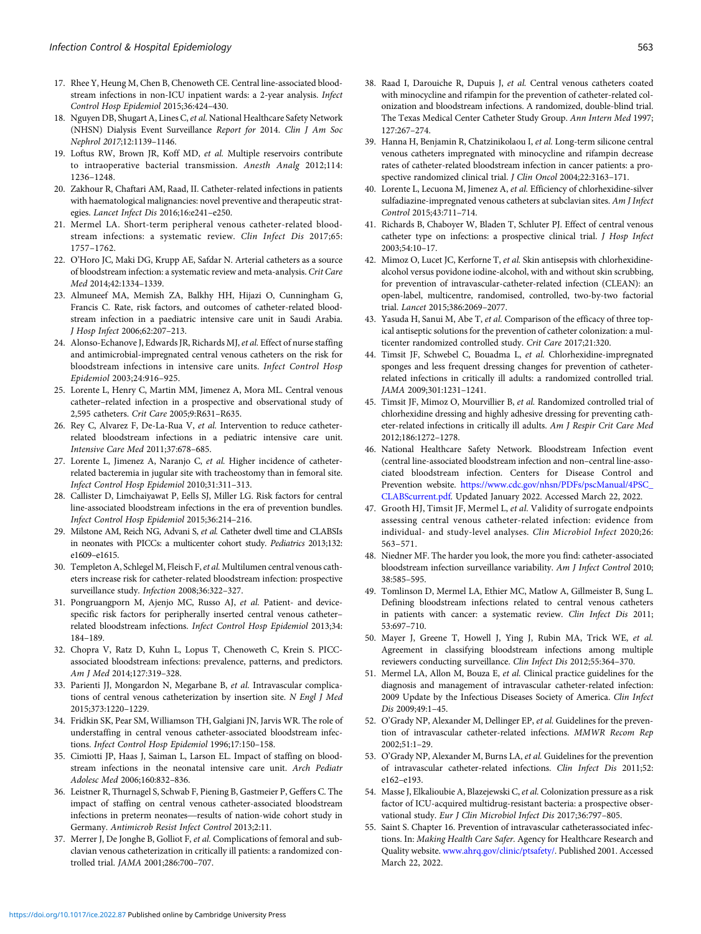- <span id="page-10-0"></span>17. Rhee Y, Heung M, Chen B, Chenoweth CE. Central line-associated bloodstream infections in non-ICU inpatient wards: a 2-year analysis. Infect Control Hosp Epidemiol 2015;36:424–430.
- 18. Nguyen DB, Shugart A, Lines C, et al. National Healthcare Safety Network (NHSN) Dialysis Event Surveillance Report for 2014. Clin J Am Soc Nephrol 2017;12:1139–1146.
- 19. Loftus RW, Brown JR, Koff MD, et al. Multiple reservoirs contribute to intraoperative bacterial transmission. Anesth Analg 2012;114: 1236–1248.
- 20. Zakhour R, Chaftari AM, Raad, II. Catheter-related infections in patients with haematological malignancies: novel preventive and therapeutic strategies. Lancet Infect Dis 2016;16:e241–e250.
- 21. Mermel LA. Short-term peripheral venous catheter-related bloodstream infections: a systematic review. Clin Infect Dis 2017;65: 1757–1762.
- 22. O'Horo JC, Maki DG, Krupp AE, Safdar N. Arterial catheters as a source of bloodstream infection: a systematic review and meta-analysis. Crit Care Med 2014;42:1334–1339.
- 23. Almuneef MA, Memish ZA, Balkhy HH, Hijazi O, Cunningham G, Francis C. Rate, risk factors, and outcomes of catheter-related bloodstream infection in a paediatric intensive care unit in Saudi Arabia. J Hosp Infect 2006;62:207–213.
- 24. Alonso-Echanove J, Edwards JR, Richards MJ, et al. Effect of nurse staffing and antimicrobial-impregnated central venous catheters on the risk for bloodstream infections in intensive care units. Infect Control Hosp Epidemiol 2003;24:916–925.
- 25. Lorente L, Henry C, Martin MM, Jimenez A, Mora ML. Central venous catheter–related infection in a prospective and observational study of 2,595 catheters. Crit Care 2005;9:R631–R635.
- 26. Rey C, Alvarez F, De-La-Rua V, et al. Intervention to reduce catheterrelated bloodstream infections in a pediatric intensive care unit. Intensive Care Med 2011;37:678–685.
- 27. Lorente L, Jimenez A, Naranjo C, et al. Higher incidence of catheterrelated bacteremia in jugular site with tracheostomy than in femoral site. Infect Control Hosp Epidemiol 2010;31:311–313.
- 28. Callister D, Limchaiyawat P, Eells SJ, Miller LG. Risk factors for central line-associated bloodstream infections in the era of prevention bundles. Infect Control Hosp Epidemiol 2015;36:214–216.
- 29. Milstone AM, Reich NG, Advani S, et al. Catheter dwell time and CLABSIs in neonates with PICCs: a multicenter cohort study. Pediatrics 2013;132: e1609–e1615.
- 30. Templeton A, Schlegel M, Fleisch F, et al. Multilumen central venous catheters increase risk for catheter-related bloodstream infection: prospective surveillance study. Infection 2008;36:322–327.
- 31. Pongruangporn M, Ajenjo MC, Russo AJ, et al. Patient- and devicespecific risk factors for peripherally inserted central venous catheter– related bloodstream infections. Infect Control Hosp Epidemiol 2013;34: 184–189.
- 32. Chopra V, Ratz D, Kuhn L, Lopus T, Chenoweth C, Krein S. PICCassociated bloodstream infections: prevalence, patterns, and predictors. Am J Med 2014;127:319–328.
- 33. Parienti JJ, Mongardon N, Megarbane B, et al. Intravascular complications of central venous catheterization by insertion site. N Engl J Med 2015;373:1220–1229.
- 34. Fridkin SK, Pear SM, Williamson TH, Galgiani JN, Jarvis WR. The role of understaffing in central venous catheter-associated bloodstream infections. Infect Control Hosp Epidemiol 1996;17:150–158.
- 35. Cimiotti JP, Haas J, Saiman L, Larson EL. Impact of staffing on bloodstream infections in the neonatal intensive care unit. Arch Pediatr Adolesc Med 2006;160:832–836.
- 36. Leistner R, Thurnagel S, Schwab F, Piening B, Gastmeier P, Geffers C. The impact of staffing on central venous catheter-associated bloodstream Adolesc Med 2006;160:832–836.<br>Leistner R, Thurnagel S, Schwab F, Piening B, Gastmeier P, Geffers C. The<br>impact of staffing on central venous catheter-associated bloodstream<br>infections in preterm neonates—results of nation-Germany. Antimicrob Resist Infect Control 2013;2:11.
- 37. Merrer J, De Jonghe B, Golliot F, et al. Complications of femoral and subclavian venous catheterization in critically ill patients: a randomized controlled trial. JAMA 2001;286:700–707.
- 38. Raad I, Darouiche R, Dupuis J, et al. Central venous catheters coated with minocycline and rifampin for the prevention of catheter-related colonization and bloodstream infections. A randomized, double-blind trial. The Texas Medical Center Catheter Study Group. Ann Intern Med 1997; 127:267–274.
- 39. Hanna H, Benjamin R, Chatzinikolaou I, et al. Long-term silicone central venous catheters impregnated with minocycline and rifampin decrease rates of catheter-related bloodstream infection in cancer patients: a prospective randomized clinical trial. J Clin Oncol 2004;22:3163–171.
- 40. Lorente L, Lecuona M, Jimenez A, et al. Efficiency of chlorhexidine-silver sulfadiazine-impregnated venous catheters at subclavian sites. Am J Infect Control 2015;43:711–714.
- 41. Richards B, Chaboyer W, Bladen T, Schluter PJ. Effect of central venous catheter type on infections: a prospective clinical trial. J Hosp Infect 2003;54:10–17.
- 42. Mimoz O, Lucet JC, Kerforne T, et al. Skin antisepsis with chlorhexidinealcohol versus povidone iodine-alcohol, with and without skin scrubbing, for prevention of intravascular-catheter-related infection (CLEAN): an open-label, multicentre, randomised, controlled, two-by-two factorial trial. Lancet 2015;386:2069–2077.
- 43. Yasuda H, Sanui M, Abe T, et al. Comparison of the efficacy of three topical antiseptic solutions for the prevention of catheter colonization: a multicenter randomized controlled study. Crit Care 2017;21:320.
- 44. Timsit JF, Schwebel C, Bouadma L, et al. Chlorhexidine-impregnated sponges and less frequent dressing changes for prevention of catheterrelated infections in critically ill adults: a randomized controlled trial. JAMA 2009;301:1231–1241.
- 45. Timsit JF, Mimoz O, Mourvillier B, et al. Randomized controlled trial of chlorhexidine dressing and highly adhesive dressing for preventing catheter-related infections in critically ill adults. Am J Respir Crit Care Med 2012;186:1272–1278.
- 46. National Healthcare Safety Network. Bloodstream Infection event (central line-associated bloodstream infection and non–central line-associated bloodstream infection. Centers for Disease Control and Prevention website. [https://www.cdc.gov/nhsn/PDFs/pscManual/4PSC\\_](https://www.cdc.gov/nhsn/PDFs/pscManual/4PSC_CLABScurrent.pdf) [CLABScurrent.pdf.](https://www.cdc.gov/nhsn/PDFs/pscManual/4PSC_CLABScurrent.pdf) Updated January 2022. Accessed March 22, 2022.
- 47. Grooth HJ, Timsit JF, Mermel L, et al. Validity of surrogate endpoints assessing central venous catheter-related infection: evidence from individual- and study-level analyses. Clin Microbiol Infect 2020;26: 563–571.
- 48. Niedner MF. The harder you look, the more you find: catheter-associated bloodstream infection surveillance variability. Am J Infect Control 2010; 38:585–595.
- 49. Tomlinson D, Mermel LA, Ethier MC, Matlow A, Gillmeister B, Sung L. Defining bloodstream infections related to central venous catheters in patients with cancer: a systematic review. Clin Infect Dis 2011; 53:697–710.
- 50. Mayer J, Greene T, Howell J, Ying J, Rubin MA, Trick WE, et al. Agreement in classifying bloodstream infections among multiple reviewers conducting surveillance. Clin Infect Dis 2012;55:364–370.
- 51. Mermel LA, Allon M, Bouza E, et al. Clinical practice guidelines for the diagnosis and management of intravascular catheter-related infection: 2009 Update by the Infectious Diseases Society of America. Clin Infect Dis 2009;49:1–45.
- 52. O'Grady NP, Alexander M, Dellinger EP, et al. Guidelines for the prevention of intravascular catheter-related infections. MMWR Recom Rep 2002;51:1–29.
- 53. O'Grady NP, Alexander M, Burns LA, et al. Guidelines for the prevention of intravascular catheter-related infections. Clin Infect Dis 2011;52: e162–e193.
- 54. Masse J, Elkalioubie A, Blazejewski C, et al. Colonization pressure as a risk factor of ICU-acquired multidrug-resistant bacteria: a prospective observational study. Eur J Clin Microbiol Infect Dis 2017;36:797–805.
- 55. Saint S. Chapter 16. Prevention of intravascular catheterassociated infections. In: Making Health Care Safer. Agency for Healthcare Research and Quality website. [www.ahrq.gov/clinic/ptsafety/](http://www.ahrq.gov/clinic/ptsafety/). Published 2001. Accessed March 22, 2022.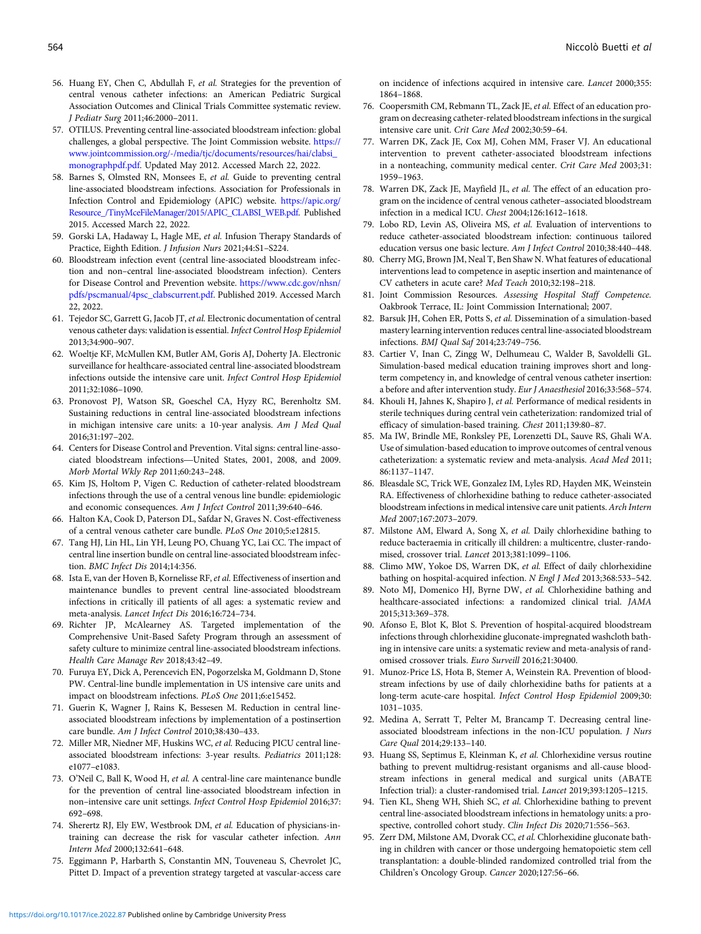- <span id="page-11-0"></span>56. Huang EY, Chen C, Abdullah F, et al. Strategies for the prevention of central venous catheter infections: an American Pediatric Surgical Association Outcomes and Clinical Trials Committee systematic review. J Pediatr Surg 2011;46:2000–2011.
- 57. OTILUS. Preventing central line-associated bloodstream infection: global challenges, a global perspective. The Joint Commission website. [https://](https://www.jointcommission.org/-/media/tjc/documents/resources/hai/clabsi_monographpdf.pdf) [www.jointcommission.org/-/media/tjc/documents/resources/hai/clabsi\\_](https://www.jointcommission.org/-/media/tjc/documents/resources/hai/clabsi_monographpdf.pdf) [monographpdf.pdf.](https://www.jointcommission.org/-/media/tjc/documents/resources/hai/clabsi_monographpdf.pdf) Updated May 2012. Accessed March 22, 2022.
- 58. Barnes S, Olmsted RN, Monsees E, et al. Guide to preventing central line-associated bloodstream infections. Association for Professionals in Infection Control and Epidemiology (APIC) website. [https://apic.org/](https://apic.org/Resource_/TinyMceFileManager/2015/APIC_CLABSI_WEB.pdf) [Resource\\_/TinyMceFileManager/2015/APIC\\_CLABSI\\_WEB.pdf](https://apic.org/Resource_/TinyMceFileManager/2015/APIC_CLABSI_WEB.pdf). Published 2015. Accessed March 22, 2022.
- 59. Gorski LA, Hadaway L, Hagle ME, et al. Infusion Therapy Standards of Practice, Eighth Edition. J Infusion Nurs 2021;44:S1–S224.
- 60. Bloodstream infection event (central line-associated bloodstream infection and non–central line-associated bloodstream infection). Centers for Disease Control and Prevention website. [https://www.cdc.gov/nhsn/](https://www.cdc.gov/nhsn/pdfs/pscmanual/4psc_clabscurrent.pdf) [pdfs/pscmanual/4psc\\_clabscurrent.pdf](https://www.cdc.gov/nhsn/pdfs/pscmanual/4psc_clabscurrent.pdf). Published 2019. Accessed March 22, 2022.
- 61. Tejedor SC, Garrett G, Jacob JT, et al. Electronic documentation of central venous catheter days: validation is essential. Infect Control Hosp Epidemiol 2013;34:900–907.
- 62. Woeltje KF, McMullen KM, Butler AM, Goris AJ, Doherty JA. Electronic surveillance for healthcare-associated central line-associated bloodstream infections outside the intensive care unit. Infect Control Hosp Epidemiol 2011;32:1086–1090.
- 63. Pronovost PJ, Watson SR, Goeschel CA, Hyzy RC, Berenholtz SM. Sustaining reductions in central line-associated bloodstream infections in michigan intensive care units: a 10-year analysis. Am J Med Qual 2016;31:197–202. in michigan intensive care units: a 10-year analysis. Am J Med Qual 2016;31:197-202.<br>2016;31:197-202.<br>Centers for Disease Control and Prevention. Vital signs: central line-asso-<br>ciated bloodstream infections—United States,
- 64. Centers for Disease Control and Prevention. Vital signs: central line-asso-Morb Mortal Wkly Rep 2011;60:243–248.
- 65. Kim JS, Holtom P, Vigen C. Reduction of catheter-related bloodstream infections through the use of a central venous line bundle: epidemiologic and economic consequences. Am J Infect Control 2011;39:640–646.
- 66. Halton KA, Cook D, Paterson DL, Safdar N, Graves N. Cost-effectiveness of a central venous catheter care bundle. PLoS One 2010;5:e12815.
- 67. Tang HJ, Lin HL, Lin YH, Leung PO, Chuang YC, Lai CC. The impact of central line insertion bundle on central line-associated bloodstream infection. BMC Infect Dis 2014;14:356.
- 68. Ista E, van der Hoven B, Kornelisse RF, et al. Effectiveness of insertion and maintenance bundles to prevent central line-associated bloodstream infections in critically ill patients of all ages: a systematic review and meta-analysis. Lancet Infect Dis 2016;16:724–734.
- 69. Richter JP, McAlearney AS. Targeted implementation of the Comprehensive Unit-Based Safety Program through an assessment of safety culture to minimize central line-associated bloodstream infections. Health Care Manage Rev 2018;43:42–49.
- 70. Furuya EY, Dick A, Perencevich EN, Pogorzelska M, Goldmann D, Stone PW. Central-line bundle implementation in US intensive care units and impact on bloodstream infections. PLoS One 2011;6:e15452.
- 71. Guerin K, Wagner J, Rains K, Bessesen M. Reduction in central lineassociated bloodstream infections by implementation of a postinsertion care bundle. Am J Infect Control 2010;38:430–433.
- 72. Miller MR, Niedner MF, Huskins WC, et al. Reducing PICU central lineassociated bloodstream infections: 3-year results. Pediatrics 2011;128: e1077–e1083.
- 73. O'Neil C, Ball K, Wood H, et al. A central-line care maintenance bundle for the prevention of central line-associated bloodstream infection in non–intensive care unit settings. Infect Control Hosp Epidemiol 2016;37: 692–698.
- 74. Sherertz RJ, Ely EW, Westbrook DM, et al. Education of physicians-intraining can decrease the risk for vascular catheter infection. Ann Intern Med 2000;132:641–648.
- 75. Eggimann P, Harbarth S, Constantin MN, Touveneau S, Chevrolet JC, Pittet D. Impact of a prevention strategy targeted at vascular-access care

on incidence of infections acquired in intensive care. Lancet 2000;355: 1864–1868.

- 76. Coopersmith CM, Rebmann TL, Zack JE, et al. Effect of an education program on decreasing catheter-related bloodstream infections in the surgical intensive care unit. Crit Care Med 2002;30:59–64.
- 77. Warren DK, Zack JE, Cox MJ, Cohen MM, Fraser VJ. An educational intervention to prevent catheter-associated bloodstream infections in a nonteaching, community medical center. Crit Care Med 2003;31: 1959–1963.
- 78. Warren DK, Zack JE, Mayfield JL, et al. The effect of an education program on the incidence of central venous catheter–associated bloodstream infection in a medical ICU. Chest 2004;126:1612–1618.
- 79. Lobo RD, Levin AS, Oliveira MS, et al. Evaluation of interventions to reduce catheter-associated bloodstream infection: continuous tailored education versus one basic lecture. Am J Infect Control 2010;38:440–448.
- 80. Cherry MG, Brown JM, Neal T, Ben Shaw N. What features of educational interventions lead to competence in aseptic insertion and maintenance of CV catheters in acute care? Med Teach 2010;32:198–218.
- 81. Joint Commission Resources. Assessing Hospital Staff Competence. Oakbrook Terrace, IL: Joint Commission International; 2007.
- 82. Barsuk JH, Cohen ER, Potts S, et al. Dissemination of a simulation-based mastery learning intervention reduces central line-associated bloodstream infections. BMJ Qual Saf 2014;23:749–756.
- 83. Cartier V, Inan C, Zingg W, Delhumeau C, Walder B, Savoldelli GL. Simulation-based medical education training improves short and longterm competency in, and knowledge of central venous catheter insertion: a before and after intervention study. Eur J Anaesthesiol 2016;33:568–574.
- 84. Khouli H, Jahnes K, Shapiro J, et al. Performance of medical residents in sterile techniques during central vein catheterization: randomized trial of efficacy of simulation-based training. Chest 2011;139:80–87.
- 85. Ma IW, Brindle ME, Ronksley PE, Lorenzetti DL, Sauve RS, Ghali WA. Use of simulation-based education to improve outcomes of central venous catheterization: a systematic review and meta-analysis. Acad Med 2011; 86:1137–1147.
- 86. Bleasdale SC, Trick WE, Gonzalez IM, Lyles RD, Hayden MK, Weinstein RA. Effectiveness of chlorhexidine bathing to reduce catheter-associated bloodstream infections in medical intensive care unit patients. Arch Intern Med 2007;167:2073–2079.
- 87. Milstone AM, Elward A, Song X, et al. Daily chlorhexidine bathing to reduce bacteraemia in critically ill children: a multicentre, cluster-randomised, crossover trial. Lancet 2013;381:1099–1106.
- 88. Climo MW, Yokoe DS, Warren DK, et al. Effect of daily chlorhexidine bathing on hospital-acquired infection. N Engl J Med 2013;368:533–542.
- 89. Noto MJ, Domenico HJ, Byrne DW, et al. Chlorhexidine bathing and healthcare-associated infections: a randomized clinical trial. JAMA 2015;313:369–378.
- 90. Afonso E, Blot K, Blot S. Prevention of hospital-acquired bloodstream infections through chlorhexidine gluconate-impregnated washcloth bathing in intensive care units: a systematic review and meta-analysis of randomised crossover trials. Euro Surveill 2016;21:30400.
- 91. Munoz-Price LS, Hota B, Stemer A, Weinstein RA. Prevention of bloodstream infections by use of daily chlorhexidine baths for patients at a long-term acute-care hospital. Infect Control Hosp Epidemiol 2009;30: 1031–1035.
- 92. Medina A, Serratt T, Pelter M, Brancamp T. Decreasing central lineassociated bloodstream infections in the non-ICU population. J Nurs Care Qual 2014;29:133–140.
- 93. Huang SS, Septimus E, Kleinman K, et al. Chlorhexidine versus routine bathing to prevent multidrug-resistant organisms and all-cause bloodstream infections in general medical and surgical units (ABATE Infection trial): a cluster-randomised trial. Lancet 2019;393:1205–1215.
- 94. Tien KL, Sheng WH, Shieh SC, et al. Chlorhexidine bathing to prevent central line-associated bloodstream infections in hematology units: a prospective, controlled cohort study. Clin Infect Dis 2020;71:556–563.
- 95. Zerr DM, Milstone AM, Dvorak CC, et al. Chlorhexidine gluconate bathing in children with cancer or those undergoing hematopoietic stem cell transplantation: a double-blinded randomized controlled trial from the Children's Oncology Group. Cancer 2020;127:56–66.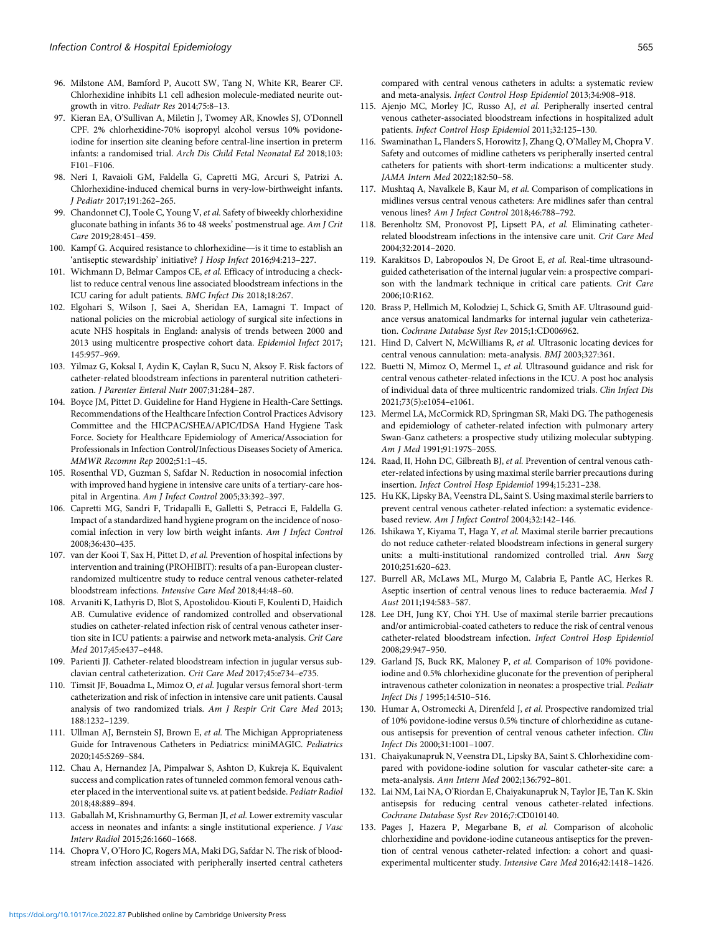- <span id="page-12-0"></span>96. Milstone AM, Bamford P, Aucott SW, Tang N, White KR, Bearer CF. Chlorhexidine inhibits L1 cell adhesion molecule-mediated neurite outgrowth in vitro. Pediatr Res 2014;75:8–13.
- 97. Kieran EA, O'Sullivan A, Miletin J, Twomey AR, Knowles SJ, O'Donnell CPF. 2% chlorhexidine-70% isopropyl alcohol versus 10% povidoneiodine for insertion site cleaning before central-line insertion in preterm infants: a randomised trial. Arch Dis Child Fetal Neonatal Ed 2018;103: F101–F106.
- 98. Neri I, Ravaioli GM, Faldella G, Capretti MG, Arcuri S, Patrizi A. Chlorhexidine-induced chemical burns in very-low-birthweight infants. J Pediatr 2017;191:262–265.
- 99. Chandonnet CJ, Toole C, Young V, et al. Safety of biweekly chlorhexidine gluconate bathing in infants 36 to 48 weeks' postmenstrual age. Am J Crit Care 2019;28:451–459. 100. Shandonnet CJ, Toole C, Young V, *et al.* Safety of biweekly chlorhexidine gluconate bathing in infants 36 to 48 weeks' postmenstrual age. Am J Crit Care 2019;28:451–459.<br>100. Kampf G. Acquired resistance to chlorhex
- 'antiseptic stewardship' initiative? J Hosp Infect 2016;94:213–227.
- 101. Wichmann D, Belmar Campos CE, et al. Efficacy of introducing a checklist to reduce central venous line associated bloodstream infections in the ICU caring for adult patients. BMC Infect Dis 2018;18:267.
- 102. Elgohari S, Wilson J, Saei A, Sheridan EA, Lamagni T. Impact of national policies on the microbial aetiology of surgical site infections in acute NHS hospitals in England: analysis of trends between 2000 and 2013 using multicentre prospective cohort data. Epidemiol Infect 2017; 145:957–969.
- 103. Yilmaz G, Koksal I, Aydin K, Caylan R, Sucu N, Aksoy F. Risk factors of catheter-related bloodstream infections in parenteral nutrition catheterization. J Parenter Enteral Nutr 2007;31:284–287.
- 104. Boyce JM, Pittet D. Guideline for Hand Hygiene in Health-Care Settings. Recommendations of the Healthcare Infection Control Practices Advisory Committee and the HICPAC/SHEA/APIC/IDSA Hand Hygiene Task Force. Society for Healthcare Epidemiology of America/Association for Professionals in Infection Control/Infectious Diseases Society of America. MMWR Recomm Rep 2002;51:1–45.
- 105. Rosenthal VD, Guzman S, Safdar N. Reduction in nosocomial infection with improved hand hygiene in intensive care units of a tertiary-care hospital in Argentina. Am J Infect Control 2005;33:392–397.
- 106. Capretti MG, Sandri F, Tridapalli E, Galletti S, Petracci E, Faldella G. Impact of a standardized hand hygiene program on the incidence of nosocomial infection in very low birth weight infants. Am J Infect Control 2008;36:430–435.
- 107. van der Kooi T, Sax H, Pittet D, et al. Prevention of hospital infections by intervention and training (PROHIBIT): results of a pan-European clusterrandomized multicentre study to reduce central venous catheter-related bloodstream infections. Intensive Care Med 2018;44:48–60.
- 108. Arvaniti K, Lathyris D, Blot S, Apostolidou-Kiouti F, Koulenti D, Haidich AB. Cumulative evidence of randomized controlled and observational studies on catheter-related infection risk of central venous catheter insertion site in ICU patients: a pairwise and network meta-analysis. Crit Care Med 2017;45:e437–e448.
- 109. Parienti JJ. Catheter-related bloodstream infection in jugular versus subclavian central catheterization. Crit Care Med 2017;45:e734–e735.
- 110. Timsit JF, Bouadma L, Mimoz O, et al. Jugular versus femoral short-term catheterization and risk of infection in intensive care unit patients. Causal analysis of two randomized trials. Am J Respir Crit Care Med 2013; 188:1232–1239.
- 111. Ullman AJ, Bernstein SJ, Brown E, et al. The Michigan Appropriateness Guide for Intravenous Catheters in Pediatrics: miniMAGIC. Pediatrics 2020;145:S269–S84.
- 112. Chau A, Hernandez JA, Pimpalwar S, Ashton D, Kukreja K. Equivalent success and complication rates of tunneled common femoral venous catheter placed in the interventional suite vs. at patient bedside. Pediatr Radiol 2018;48:889–894.
- 113. Gaballah M, Krishnamurthy G, Berman JI, et al. Lower extremity vascular access in neonates and infants: a single institutional experience. J Vasc Interv Radiol 2015;26:1660–1668.
- 114. Chopra V, O'Horo JC, Rogers MA, Maki DG, Safdar N. The risk of bloodstream infection associated with peripherally inserted central catheters

compared with central venous catheters in adults: a systematic review and meta-analysis. Infect Control Hosp Epidemiol 2013;34:908–918.

- 115. Ajenjo MC, Morley JC, Russo AJ, et al. Peripherally inserted central venous catheter-associated bloodstream infections in hospitalized adult patients. Infect Control Hosp Epidemiol 2011;32:125–130.
- 116. Swaminathan L, Flanders S, Horowitz J, Zhang Q, O'Malley M, Chopra V. Safety and outcomes of midline catheters vs peripherally inserted central catheters for patients with short-term indications: a multicenter study. JAMA Intern Med 2022;182:50–58.
- 117. Mushtaq A, Navalkele B, Kaur M, et al. Comparison of complications in midlines versus central venous catheters: Are midlines safer than central venous lines? Am J Infect Control 2018;46:788–792.
- 118. Berenholtz SM, Pronovost PJ, Lipsett PA, et al. Eliminating catheterrelated bloodstream infections in the intensive care unit. Crit Care Med 2004;32:2014–2020.
- 119. Karakitsos D, Labropoulos N, De Groot E, et al. Real-time ultrasoundguided catheterisation of the internal jugular vein: a prospective comparison with the landmark technique in critical care patients. Crit Care 2006;10:R162.
- 120. Brass P, Hellmich M, Kolodziej L, Schick G, Smith AF. Ultrasound guidance versus anatomical landmarks for internal jugular vein catheterization. Cochrane Database Syst Rev 2015;1:CD006962.
- 121. Hind D, Calvert N, McWilliams R, et al. Ultrasonic locating devices for central venous cannulation: meta-analysis. BMJ 2003;327:361.
- 122. Buetti N, Mimoz O, Mermel L, et al. Ultrasound guidance and risk for central venous catheter-related infections in the ICU. A post hoc analysis of individual data of three multicentric randomized trials. Clin Infect Dis 2021;73(5):e1054–e1061.
- 123. Mermel LA, McCormick RD, Springman SR, Maki DG. The pathogenesis and epidemiology of catheter-related infection with pulmonary artery Swan-Ganz catheters: a prospective study utilizing molecular subtyping. Am J Med 1991;91:197S–205S.
- 124. Raad, II, Hohn DC, Gilbreath BJ, et al. Prevention of central venous catheter-related infections by using maximal sterile barrier precautions during insertion. Infect Control Hosp Epidemiol 1994;15:231–238.
- 125. Hu KK, Lipsky BA, Veenstra DL, Saint S. Using maximal sterile barriers to prevent central venous catheter-related infection: a systematic evidencebased review. Am J Infect Control 2004;32:142–146.
- 126. Ishikawa Y, Kiyama T, Haga Y, et al. Maximal sterile barrier precautions do not reduce catheter-related bloodstream infections in general surgery units: a multi-institutional randomized controlled trial. Ann Surg 2010;251:620–623.
- 127. Burrell AR, McLaws ML, Murgo M, Calabria E, Pantle AC, Herkes R. Aseptic insertion of central venous lines to reduce bacteraemia. Med J Aust 2011;194:583–587.
- 128. Lee DH, Jung KY, Choi YH. Use of maximal sterile barrier precautions and/or antimicrobial-coated catheters to reduce the risk of central venous catheter-related bloodstream infection. Infect Control Hosp Epidemiol 2008;29:947–950.
- 129. Garland JS, Buck RK, Maloney P, et al. Comparison of 10% povidoneiodine and 0.5% chlorhexidine gluconate for the prevention of peripheral intravenous catheter colonization in neonates: a prospective trial. Pediatr Infect Dis J 1995;14:510–516.
- 130. Humar A, Ostromecki A, Direnfeld J, et al. Prospective randomized trial of 10% povidone-iodine versus 0.5% tincture of chlorhexidine as cutaneous antisepsis for prevention of central venous catheter infection. Clin Infect Dis 2000;31:1001–1007.
- 131. Chaiyakunapruk N, Veenstra DL, Lipsky BA, Saint S. Chlorhexidine compared with povidone-iodine solution for vascular catheter-site care: a meta-analysis. Ann Intern Med 2002;136:792–801.
- 132. Lai NM, Lai NA, O'Riordan E, Chaiyakunapruk N, Taylor JE, Tan K. Skin antisepsis for reducing central venous catheter-related infections. Cochrane Database Syst Rev 2016;7:CD010140.
- 133. Pages J, Hazera P, Megarbane B, et al. Comparison of alcoholic chlorhexidine and povidone-iodine cutaneous antiseptics for the prevention of central venous catheter-related infection: a cohort and quasiexperimental multicenter study. Intensive Care Med 2016;42:1418–1426.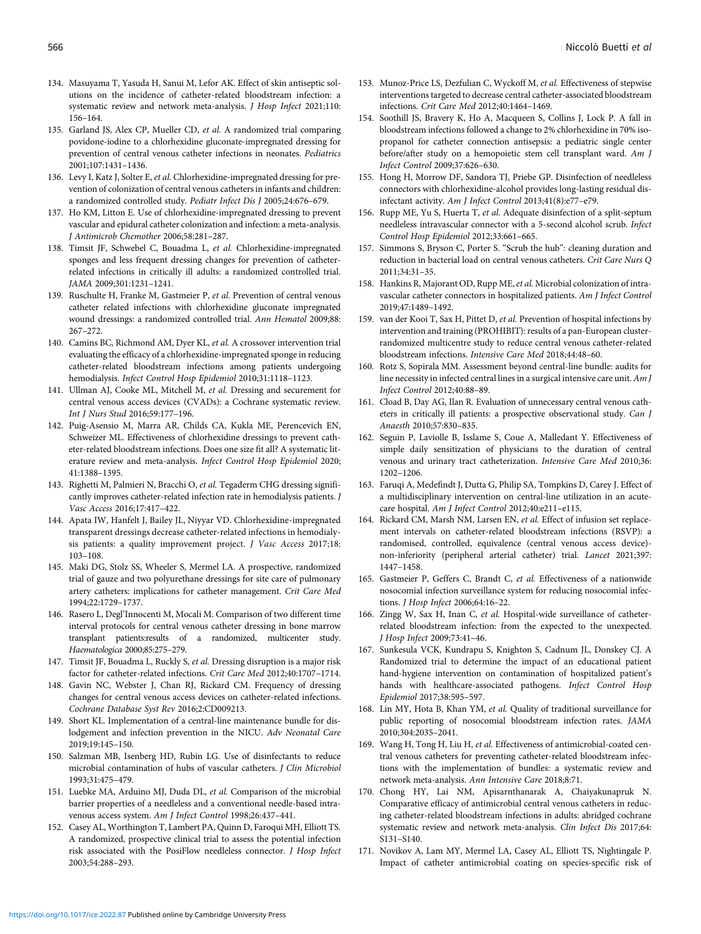- <span id="page-13-0"></span>134. Masuyama T, Yasuda H, Sanui M, Lefor AK. Effect of skin antiseptic solutions on the incidence of catheter-related bloodstream infection: a systematic review and network meta-analysis. J Hosp Infect 2021;110: 156–164.
- 135. Garland JS, Alex CP, Mueller CD, et al. A randomized trial comparing povidone-iodine to a chlorhexidine gluconate-impregnated dressing for prevention of central venous catheter infections in neonates. Pediatrics 2001;107:1431–1436.
- 136. Levy I, Katz J, Solter E, et al. Chlorhexidine-impregnated dressing for prevention of colonization of central venous catheters in infants and children: a randomized controlled study. Pediatr Infect Dis J 2005;24:676–679.
- 137. Ho KM, Litton E. Use of chlorhexidine-impregnated dressing to prevent vascular and epidural catheter colonization and infection: a meta-analysis. J Antimicrob Chemother 2006;58:281–287.
- 138. Timsit JF, Schwebel C, Bouadma L, et al. Chlorhexidine-impregnated sponges and less frequent dressing changes for prevention of catheterrelated infections in critically ill adults: a randomized controlled trial. JAMA 2009;301:1231–1241.
- 139. Ruschulte H, Franke M, Gastmeier P, et al. Prevention of central venous catheter related infections with chlorhexidine gluconate impregnated wound dressings: a randomized controlled trial. Ann Hematol 2009;88: 267–272.
- 140. Camins BC, Richmond AM, Dyer KL, et al. A crossover intervention trial evaluating the efficacy of a chlorhexidine-impregnated sponge in reducing catheter-related bloodstream infections among patients undergoing hemodialysis. Infect Control Hosp Epidemiol 2010;31:1118–1123.
- 141. Ullman AJ, Cooke ML, Mitchell M, et al. Dressing and securement for central venous access devices (CVADs): a Cochrane systematic review. Int J Nurs Stud 2016;59:177–196.
- 142. Puig-Asensio M, Marra AR, Childs CA, Kukla ME, Perencevich EN, Schweizer ML. Effectiveness of chlorhexidine dressings to prevent catheter-related bloodstream infections. Does one size fit all? A systematic literature review and meta-analysis. Infect Control Hosp Epidemiol 2020; 41:1388–1395.
- 143. Righetti M, Palmieri N, Bracchi O, et al. Tegaderm CHG dressing significantly improves catheter-related infection rate in hemodialysis patients. J Vasc Access 2016;17:417–422.
- 144. Apata IW, Hanfelt J, Bailey JL, Niyyar VD. Chlorhexidine-impregnated transparent dressings decrease catheter-related infections in hemodialysis patients: a quality improvement project. J Vasc Access 2017;18: 103–108.
- 145. Maki DG, Stolz SS, Wheeler S, Mermel LA. A prospective, randomized trial of gauze and two polyurethane dressings for site care of pulmonary artery catheters: implications for catheter management. Crit Care Med 1994;22:1729–1737.
- 146. Rasero L, Degl'Innocenti M, Mocali M. Comparison of two different time interval protocols for central venous catheter dressing in bone marrow transplant patients:results of a randomized, multicenter study. Haematologica 2000;85:275–279.
- 147. Timsit JF, Bouadma L, Ruckly S, et al. Dressing disruption is a major risk factor for catheter-related infections. Crit Care Med 2012;40:1707–1714.
- 148. Gavin NC, Webster J, Chan RJ, Rickard CM. Frequency of dressing changes for central venous access devices on catheter-related infections. Cochrane Database Syst Rev 2016;2:CD009213.
- 149. Short KL. Implementation of a central-line maintenance bundle for dislodgement and infection prevention in the NICU. Adv Neonatal Care 2019;19:145–150.
- 150. Salzman MB, Isenberg HD, Rubin LG. Use of disinfectants to reduce microbial contamination of hubs of vascular catheters. J Clin Microbiol 1993;31:475–479.
- 151. Luebke MA, Arduino MJ, Duda DL, et al. Comparison of the microbial barrier properties of a needleless and a conventional needle-based intravenous access system. Am J Infect Control 1998;26:437-441.
- 152. Casey AL, Worthington T, Lambert PA, Quinn D, Faroqui MH, Elliott TS. A randomized, prospective clinical trial to assess the potential infection risk associated with the PosiFlow needleless connector. J Hosp Infect 2003;54:288–293.
- 153. Munoz-Price LS, Dezfulian C, Wyckoff M, et al. Effectiveness of stepwise interventions targeted to decrease central catheter-associated bloodstream infections. Crit Care Med 2012;40:1464–1469.
- 154. Soothill JS, Bravery K, Ho A, Macqueen S, Collins J, Lock P. A fall in bloodstream infections followed a change to 2% chlorhexidine in 70% isopropanol for catheter connection antisepsis: a pediatric single center before/after study on a hemopoietic stem cell transplant ward. Am J Infect Control 2009;37:626–630.
- 155. Hong H, Morrow DF, Sandora TJ, Priebe GP. Disinfection of needleless connectors with chlorhexidine-alcohol provides long-lasting residual disinfectant activity. Am J Infect Control 2013;41(8):e77–e79.
- 156. Rupp ME, Yu S, Huerta T, et al. Adequate disinfection of a split-septum needleless intravascular connector with a 5-second alcohol scrub. Infect Control Hosp Epidemiol 2012;33:661–665.
- 157. Simmons S, Bryson C, Porter S. "Scrub the hub": cleaning duration and reduction in bacterial load on central venous catheters. Crit Care Nurs Q 2011;34:31–35.
- 158. Hankins R, Majorant OD, Rupp ME, et al. Microbial colonization of intravascular catheter connectors in hospitalized patients. Am J Infect Control 2019;47:1489–1492.
- 159. van der Kooi T, Sax H, Pittet D, et al. Prevention of hospital infections by intervention and training (PROHIBIT): results of a pan-European clusterrandomized multicentre study to reduce central venous catheter-related bloodstream infections. Intensive Care Med 2018;44:48–60.
- 160. Rotz S, Sopirala MM. Assessment beyond central-line bundle: audits for line necessity in infected central lines in a surgical intensive care unit. Am J Infect Control 2012;40:88–89.
- 161. Cload B, Day AG, Ilan R. Evaluation of unnecessary central venous catheters in critically ill patients: a prospective observational study. Can J Anaesth 2010;57:830–835.
- 162. Seguin P, Laviolle B, Isslame S, Coue A, Malledant Y. Effectiveness of simple daily sensitization of physicians to the duration of central venous and urinary tract catheterization. Intensive Care Med 2010;36: 1202–1206.
- 163. Faruqi A, Medefindt J, Dutta G, Philip SA, Tompkins D, Carey J. Effect of a multidisciplinary intervention on central-line utilization in an acutecare hospital. Am J Infect Control 2012;40:e211–e115.
- 164. Rickard CM, Marsh NM, Larsen EN, et al. Effect of infusion set replacement intervals on catheter-related bloodstream infections (RSVP): a randomised, controlled, equivalence (central venous access device) non-inferiority (peripheral arterial catheter) trial. Lancet 2021;397: 1447–1458.
- 165. Gastmeier P, Geffers C, Brandt C, et al. Effectiveness of a nationwide nosocomial infection surveillance system for reducing nosocomial infections. J Hosp Infect 2006;64:16–22.
- 166. Zingg W, Sax H, Inan C, et al. Hospital-wide surveillance of catheterrelated bloodstream infection: from the expected to the unexpected. J Hosp Infect 2009;73:41–46.
- 167. Sunkesula VCK, Kundrapu S, Knighton S, Cadnum JL, Donskey CJ. A Randomized trial to determine the impact of an educational patient hand-hygiene intervention on contamination of hospitalized patient's hands with healthcare-associated pathogens. Infect Control Hosp Epidemiol 2017;38:595–597.
- 168. Lin MY, Hota B, Khan YM, et al. Quality of traditional surveillance for public reporting of nosocomial bloodstream infection rates. JAMA 2010;304:2035–2041.
- 169. Wang H, Tong H, Liu H, et al. Effectiveness of antimicrobial-coated central venous catheters for preventing catheter-related bloodstream infections with the implementation of bundles: a systematic review and network meta-analysis. Ann Intensive Care 2018;8:71.
- 170. Chong HY, Lai NM, Apisarnthanarak A, Chaiyakunapruk N. Comparative efficacy of antimicrobial central venous catheters in reducing catheter-related bloodstream infections in adults: abridged cochrane systematic review and network meta-analysis. Clin Infect Dis 2017;64: S131–S140.
- 171. Novikov A, Lam MY, Mermel LA, Casey AL, Elliott TS, Nightingale P. Impact of catheter antimicrobial coating on species-specific risk of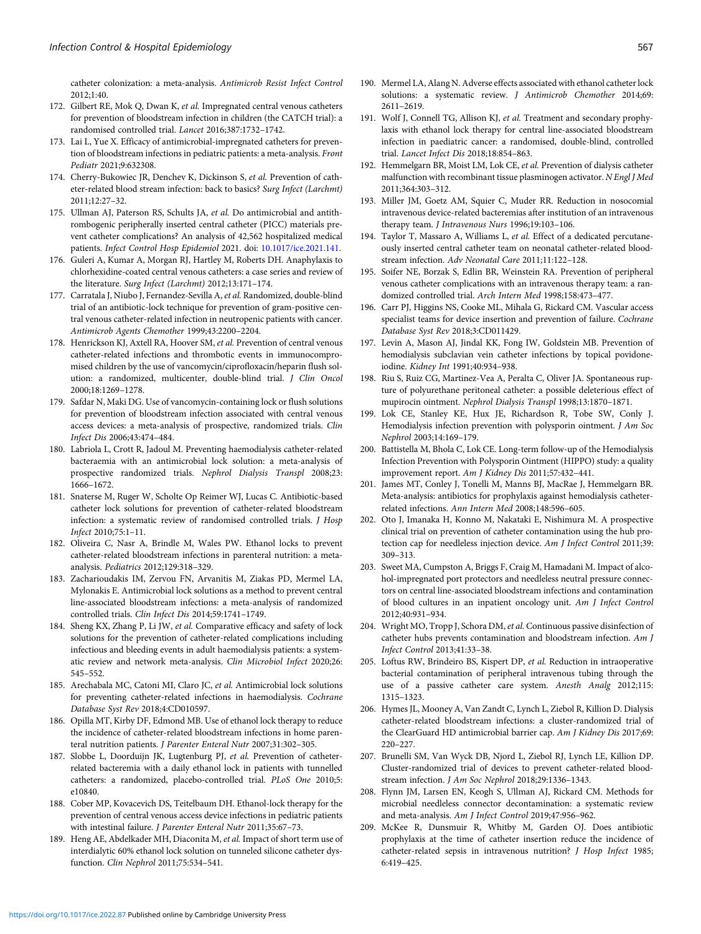<span id="page-14-0"></span>catheter colonization: a meta-analysis. Antimicrob Resist Infect Control 2012;1:40.

- 172. Gilbert RE, Mok Q, Dwan K, et al. Impregnated central venous catheters for prevention of bloodstream infection in children (the CATCH trial): a randomised controlled trial. Lancet 2016;387:1732–1742.
- 173. Lai L, Yue X. Efficacy of antimicrobial-impregnated catheters for prevention of bloodstream infections in pediatric patients: a meta-analysis. Front Pediatr 2021;9:632308.
- 174. Cherry-Bukowiec JR, Denchev K, Dickinson S, et al. Prevention of catheter-related blood stream infection: back to basics? Surg Infect (Larchmt) 2011;12:27–32.
- 175. Ullman AJ, Paterson RS, Schults JA, et al. Do antimicrobial and antithrombogenic peripherally inserted central catheter (PICC) materials prevent catheter complications? An analysis of 42,562 hospitalized medical patients. Infect Control Hosp Epidemiol 2021. doi: [10.1017/ice.2021.141](https://doi.org/10.1017/ice.2021.141).
- 176. Guleri A, Kumar A, Morgan RJ, Hartley M, Roberts DH. Anaphylaxis to chlorhexidine-coated central venous catheters: a case series and review of the literature. Surg Infect (Larchmt) 2012;13:171–174.
- 177. Carratala J, Niubo J, Fernandez-Sevilla A, et al. Randomized, double-blind trial of an antibiotic-lock technique for prevention of gram-positive central venous catheter-related infection in neutropenic patients with cancer. Antimicrob Agents Chemother 1999;43:2200–2204.
- 178. Henrickson KJ, Axtell RA, Hoover SM, et al. Prevention of central venous catheter-related infections and thrombotic events in immunocompromised children by the use of vancomycin/ciprofloxacin/heparin flush solution: a randomized, multicenter, double-blind trial. J Clin Oncol 2000;18:1269–1278.
- 179. Safdar N, Maki DG. Use of vancomycin-containing lock or flush solutions for prevention of bloodstream infection associated with central venous access devices: a meta-analysis of prospective, randomized trials. Clin Infect Dis 2006;43:474–484.
- 180. Labriola L, Crott R, Jadoul M. Preventing haemodialysis catheter-related bacteraemia with an antimicrobial lock solution: a meta-analysis of prospective randomized trials. Nephrol Dialysis Transpl 2008;23: 1666–1672.
- 181. Snaterse M, Ruger W, Scholte Op Reimer WJ, Lucas C. Antibiotic-based catheter lock solutions for prevention of catheter-related bloodstream infection: a systematic review of randomised controlled trials. J Hosp Infect 2010;75:1–11.
- 182. Oliveira C, Nasr A, Brindle M, Wales PW. Ethanol locks to prevent catheter-related bloodstream infections in parenteral nutrition: a metaanalysis. Pediatrics 2012;129:318–329.
- 183. Zacharioudakis IM, Zervou FN, Arvanitis M, Ziakas PD, Mermel LA, Mylonakis E. Antimicrobial lock solutions as a method to prevent central line-associated bloodstream infections: a meta-analysis of randomized controlled trials. Clin Infect Dis 2014;59:1741–1749.
- 184. Sheng KX, Zhang P, Li JW, et al. Comparative efficacy and safety of lock solutions for the prevention of catheter-related complications including infectious and bleeding events in adult haemodialysis patients: a systematic review and network meta-analysis. Clin Microbiol Infect 2020;26: 545–552.
- 185. Arechabala MC, Catoni MI, Claro JC, et al. Antimicrobial lock solutions for preventing catheter-related infections in haemodialysis. Cochrane Database Syst Rev 2018;4:CD010597.
- 186. Opilla MT, Kirby DF, Edmond MB. Use of ethanol lock therapy to reduce the incidence of catheter-related bloodstream infections in home parenteral nutrition patients. J Parenter Enteral Nutr 2007;31:302–305.
- 187. Slobbe L, Doorduijn JK, Lugtenburg PJ, et al. Prevention of catheterrelated bacteremia with a daily ethanol lock in patients with tunnelled catheters: a randomized, placebo-controlled trial. PLoS One 2010;5: e10840.
- 188. Cober MP, Kovacevich DS, Teitelbaum DH. Ethanol-lock therapy for the prevention of central venous access device infections in pediatric patients with intestinal failure. J Parenter Enteral Nutr 2011;35:67–73.
- 189. Heng AE, Abdelkader MH, Diaconita M, et al. Impact of short term use of interdialytic 60% ethanol lock solution on tunneled silicone catheter dysfunction. Clin Nephrol 2011;75:534–541.
- 190. Mermel LA, Alang N. Adverse effects associated with ethanol catheter lock solutions: a systematic review. J Antimicrob Chemother 2014;69: 2611–2619.
- 191. Wolf J, Connell TG, Allison KJ, et al. Treatment and secondary prophylaxis with ethanol lock therapy for central line-associated bloodstream infection in paediatric cancer: a randomised, double-blind, controlled trial. Lancet Infect Dis 2018;18:854–863.
- 192. Hemmelgarn BR, Moist LM, Lok CE, et al. Prevention of dialysis catheter malfunction with recombinant tissue plasminogen activator. N Engl J Med 2011;364:303–312.
- 193. Miller JM, Goetz AM, Squier C, Muder RR. Reduction in nosocomial intravenous device-related bacteremias after institution of an intravenous therapy team. J Intravenous Nurs 1996;19:103-106.
- 194. Taylor T, Massaro A, Williams L, et al. Effect of a dedicated percutaneously inserted central catheter team on neonatal catheter-related bloodstream infection. Adv Neonatal Care 2011;11:122–128.
- 195. Soifer NE, Borzak S, Edlin BR, Weinstein RA. Prevention of peripheral venous catheter complications with an intravenous therapy team: a randomized controlled trial. Arch Intern Med 1998;158:473–477.
- 196. Carr PJ, Higgins NS, Cooke ML, Mihala G, Rickard CM. Vascular access specialist teams for device insertion and prevention of failure. Cochrane Database Syst Rev 2018;3:CD011429.
- 197. Levin A, Mason AJ, Jindal KK, Fong IW, Goldstein MB. Prevention of hemodialysis subclavian vein catheter infections by topical povidoneiodine. Kidney Int 1991;40:934–938.
- 198. Riu S, Ruiz CG, Martinez-Vea A, Peralta C, Oliver JA. Spontaneous rupture of polyurethane peritoneal catheter: a possible deleterious effect of mupirocin ointment. Nephrol Dialysis Transpl 1998;13:1870–1871.
- 199. Lok CE, Stanley KE, Hux JE, Richardson R, Tobe SW, Conly J. Hemodialysis infection prevention with polysporin ointment. J Am Soc Nephrol 2003;14:169–179.
- 200. Battistella M, Bhola C, Lok CE. Long-term follow-up of the Hemodialysis Infection Prevention with Polysporin Ointment (HIPPO) study: a quality improvement report. Am J Kidney Dis 2011;57:432–441.
- 201. James MT, Conley J, Tonelli M, Manns BJ, MacRae J, Hemmelgarn BR. Meta-analysis: antibiotics for prophylaxis against hemodialysis catheterrelated infections. Ann Intern Med 2008;148:596–605.
- 202. Oto J, Imanaka H, Konno M, Nakataki E, Nishimura M. A prospective clinical trial on prevention of catheter contamination using the hub protection cap for needleless injection device. Am J Infect Control 2011;39: 309–313.
- 203. Sweet MA, Cumpston A, Briggs F, Craig M, Hamadani M. Impact of alcohol-impregnated port protectors and needleless neutral pressure connectors on central line-associated bloodstream infections and contamination of blood cultures in an inpatient oncology unit. Am J Infect Control 2012;40:931–934.
- 204. Wright MO, Tropp J, Schora DM, et al. Continuous passive disinfection of catheter hubs prevents contamination and bloodstream infection. Am J Infect Control 2013;41:33–38.
- 205. Loftus RW, Brindeiro BS, Kispert DP, et al. Reduction in intraoperative bacterial contamination of peripheral intravenous tubing through the use of a passive catheter care system. Anesth Analg 2012;115: 1315–1323.
- 206. Hymes JL, Mooney A, Van Zandt C, Lynch L, Ziebol R, Killion D. Dialysis catheter-related bloodstream infections: a cluster-randomized trial of the ClearGuard HD antimicrobial barrier cap. Am J Kidney Dis 2017;69: 220–227.
- 207. Brunelli SM, Van Wyck DB, Njord L, Ziebol RJ, Lynch LE, Killion DP. Cluster-randomized trial of devices to prevent catheter-related bloodstream infection. J Am Soc Nephrol 2018;29:1336–1343.
- 208. Flynn JM, Larsen EN, Keogh S, Ullman AJ, Rickard CM. Methods for microbial needleless connector decontamination: a systematic review and meta-analysis. Am J Infect Control 2019;47:956–962.
- 209. McKee R, Dunsmuir R, Whitby M, Garden OJ. Does antibiotic prophylaxis at the time of catheter insertion reduce the incidence of catheter-related sepsis in intravenous nutrition? J Hosp Infect 1985; 6:419–425.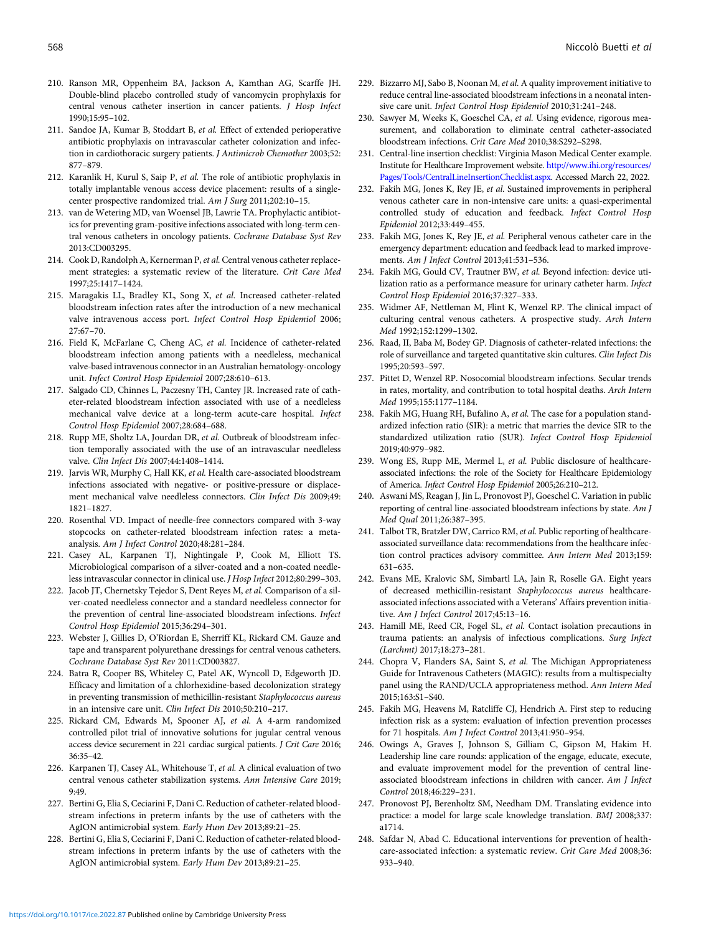- <span id="page-15-0"></span>210. Ranson MR, Oppenheim BA, Jackson A, Kamthan AG, Scarffe JH. Double-blind placebo controlled study of vancomycin prophylaxis for central venous catheter insertion in cancer patients. J Hosp Infect 1990;15:95–102.
- 211. Sandoe JA, Kumar B, Stoddart B, et al. Effect of extended perioperative antibiotic prophylaxis on intravascular catheter colonization and infection in cardiothoracic surgery patients. J Antimicrob Chemother 2003;52: 877–879.
- 212. Karanlik H, Kurul S, Saip P, et al. The role of antibiotic prophylaxis in totally implantable venous access device placement: results of a singlecenter prospective randomized trial. Am J Surg 2011;202:10–15.
- 213. van de Wetering MD, van Woensel JB, Lawrie TA. Prophylactic antibiotics for preventing gram-positive infections associated with long-term central venous catheters in oncology patients. Cochrane Database Syst Rev 2013:CD003295.
- 214. Cook D, Randolph A, Kernerman P, et al. Central venous catheter replacement strategies: a systematic review of the literature. Crit Care Med 1997;25:1417–1424.
- 215. Maragakis LL, Bradley KL, Song X, et al. Increased catheter-related bloodstream infection rates after the introduction of a new mechanical valve intravenous access port. Infect Control Hosp Epidemiol 2006; 27:67–70.
- 216. Field K, McFarlane C, Cheng AC, et al. Incidence of catheter-related bloodstream infection among patients with a needleless, mechanical valve-based intravenous connector in an Australian hematology-oncology unit. Infect Control Hosp Epidemiol 2007;28:610–613.
- 217. Salgado CD, Chinnes L, Paczesny TH, Cantey JR. Increased rate of catheter-related bloodstream infection associated with use of a needleless mechanical valve device at a long-term acute-care hospital. Infect Control Hosp Epidemiol 2007;28:684–688.
- 218. Rupp ME, Sholtz LA, Jourdan DR, et al. Outbreak of bloodstream infection temporally associated with the use of an intravascular needleless valve. Clin Infect Dis 2007;44:1408–1414.
- 219. Jarvis WR, Murphy C, Hall KK, et al. Health care-associated bloodstream infections associated with negative- or positive-pressure or displacement mechanical valve needleless connectors. Clin Infect Dis 2009;49: 1821–1827.
- 220. Rosenthal VD. Impact of needle-free connectors compared with 3-way stopcocks on catheter-related bloodstream infection rates: a metaanalysis. Am J Infect Control 2020;48:281–284.
- 221. Casey AL, Karpanen TJ, Nightingale P, Cook M, Elliott TS. Microbiological comparison of a silver-coated and a non-coated needleless intravascular connector in clinical use. J Hosp Infect 2012;80:299–303.
- 222. Jacob JT, Chernetsky Tejedor S, Dent Reyes M, et al. Comparison of a silver-coated needleless connector and a standard needleless connector for the prevention of central line-associated bloodstream infections. Infect Control Hosp Epidemiol 2015;36:294–301.
- 223. Webster J, Gillies D, O'Riordan E, Sherriff KL, Rickard CM. Gauze and tape and transparent polyurethane dressings for central venous catheters. Cochrane Database Syst Rev 2011:CD003827.
- 224. Batra R, Cooper BS, Whiteley C, Patel AK, Wyncoll D, Edgeworth JD. Efficacy and limitation of a chlorhexidine-based decolonization strategy in preventing transmission of methicillin-resistant Staphylococcus aureus in an intensive care unit. Clin Infect Dis 2010;50:210–217.
- 225. Rickard CM, Edwards M, Spooner AJ, et al. A 4-arm randomized controlled pilot trial of innovative solutions for jugular central venous access device securement in 221 cardiac surgical patients. J Crit Care 2016; 36:35–42.
- 226. Karpanen TJ, Casey AL, Whitehouse T, et al. A clinical evaluation of two central venous catheter stabilization systems. Ann Intensive Care 2019; 9:49.
- 227. Bertini G, Elia S, Ceciarini F, Dani C. Reduction of catheter-related bloodstream infections in preterm infants by the use of catheters with the AgION antimicrobial system. Early Hum Dev 2013;89:21–25.
- 228. Bertini G, Elia S, Ceciarini F, Dani C. Reduction of catheter-related bloodstream infections in preterm infants by the use of catheters with the AgION antimicrobial system. Early Hum Dev 2013;89:21–25.
- 229. Bizzarro MJ, Sabo B, Noonan M, et al. A quality improvement initiative to reduce central line-associated bloodstream infections in a neonatal intensive care unit. Infect Control Hosp Epidemiol 2010;31:241–248.
- 230. Sawyer M, Weeks K, Goeschel CA, et al. Using evidence, rigorous measurement, and collaboration to eliminate central catheter-associated bloodstream infections. Crit Care Med 2010;38:S292–S298.
- 231. Central-line insertion checklist: Virginia Mason Medical Center example. Institute for Healthcare Improvement website. [http://www.ihi.org/resources/](http://www.ihi.org/resources/Pages/Tools/CentralLineInsertionChecklist.aspx) [Pages/Tools/CentralLineInsertionChecklist.aspx.](http://www.ihi.org/resources/Pages/Tools/CentralLineInsertionChecklist.aspx) Accessed March 22, 2022.
- 232. Fakih MG, Jones K, Rey JE, et al. Sustained improvements in peripheral venous catheter care in non-intensive care units: a quasi-experimental controlled study of education and feedback. Infect Control Hosp Epidemiol 2012;33:449–455.
- 233. Fakih MG, Jones K, Rey JE, et al. Peripheral venous catheter care in the emergency department: education and feedback lead to marked improvements. Am J Infect Control 2013;41:531–536.
- 234. Fakih MG, Gould CV, Trautner BW, et al. Beyond infection: device utilization ratio as a performance measure for urinary catheter harm. Infect Control Hosp Epidemiol 2016;37:327–333.
- 235. Widmer AF, Nettleman M, Flint K, Wenzel RP. The clinical impact of culturing central venous catheters. A prospective study. Arch Intern Med 1992;152:1299–1302.
- 236. Raad, II, Baba M, Bodey GP. Diagnosis of catheter-related infections: the role of surveillance and targeted quantitative skin cultures. Clin Infect Dis 1995;20:593–597.
- 237. Pittet D, Wenzel RP. Nosocomial bloodstream infections. Secular trends in rates, mortality, and contribution to total hospital deaths. Arch Intern Med 1995;155:1177–1184.
- 238. Fakih MG, Huang RH, Bufalino A, et al. The case for a population standardized infection ratio (SIR): a metric that marries the device SIR to the standardized utilization ratio (SUR). Infect Control Hosp Epidemiol 2019;40:979–982.
- 239. Wong ES, Rupp ME, Mermel L, et al. Public disclosure of healthcareassociated infections: the role of the Society for Healthcare Epidemiology of America. Infect Control Hosp Epidemiol 2005;26:210–212.
- 240. Aswani MS, Reagan J, Jin L, Pronovost PJ, Goeschel C. Variation in public reporting of central line-associated bloodstream infections by state. Am J Med Qual 2011;26:387–395.
- 241. Talbot TR, Bratzler DW, Carrico RM, et al. Public reporting of healthcareassociated surveillance data: recommendations from the healthcare infection control practices advisory committee. Ann Intern Med 2013;159: 631–635.
- 242. Evans ME, Kralovic SM, Simbartl LA, Jain R, Roselle GA. Eight years of decreased methicillin-resistant Staphylococcus aureus healthcareassociated infections associated with a Veterans' Affairs prevention initiative. Am J Infect Control 2017;45:13–16.
- 243. Hamill ME, Reed CR, Fogel SL, et al. Contact isolation precautions in trauma patients: an analysis of infectious complications. Surg Infect (Larchmt) 2017;18:273–281.
- 244. Chopra V, Flanders SA, Saint S, et al. The Michigan Appropriateness Guide for Intravenous Catheters (MAGIC): results from a multispecialty panel using the RAND/UCLA appropriateness method. Ann Intern Med 2015;163:S1–S40.
- 245. Fakih MG, Heavens M, Ratcliffe CJ, Hendrich A. First step to reducing infection risk as a system: evaluation of infection prevention processes for 71 hospitals. Am J Infect Control 2013;41:950–954.
- 246. Owings A, Graves J, Johnson S, Gilliam C, Gipson M, Hakim H. Leadership line care rounds: application of the engage, educate, execute, and evaluate improvement model for the prevention of central lineassociated bloodstream infections in children with cancer. Am J Infect Control 2018;46:229–231.
- 247. Pronovost PJ, Berenholtz SM, Needham DM. Translating evidence into practice: a model for large scale knowledge translation. BMJ 2008;337: a1714.
- 248. Safdar N, Abad C. Educational interventions for prevention of healthcare-associated infection: a systematic review. Crit Care Med 2008;36: 933–940.